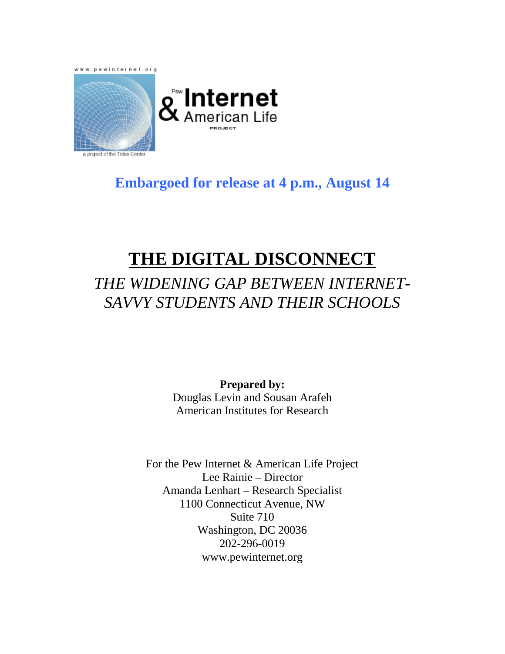www.pewinternet.org



# **g Internet**<br>& <sub>American Life</sub>

# **Embargoed for release at 4 p.m., August 14**

# **THE DIGITAL DISCONNECT**

# *THE WIDENING GAP BETWEEN INTERNET-SAVVY STUDENTS AND THEIR SCHOOLS*

**Prepared by:**  Douglas Levin and Sousan Arafeh American Institutes for Research

For the Pew Internet & American Life Project Lee Rainie – Director Amanda Lenhart – Research Specialist 1100 Connecticut Avenue, NW Suite 710 Washington, DC 20036 202-296-0019 www.pewinternet.org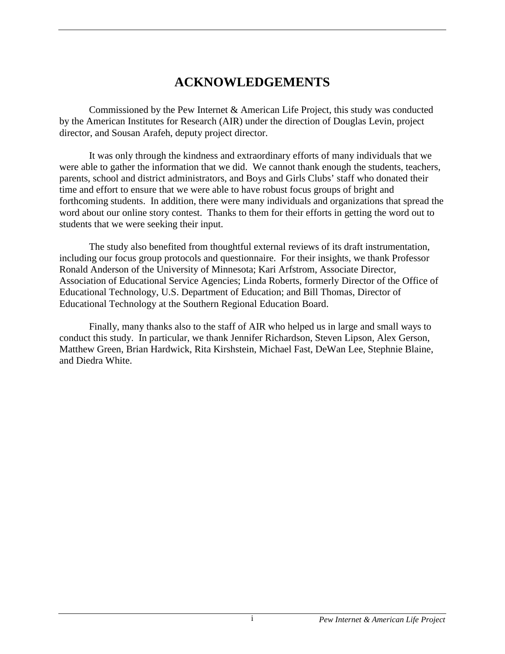# **ACKNOWLEDGEMENTS**

<span id="page-1-0"></span>Commissioned by the Pew Internet & American Life Project, this study was conducted by the American Institutes for Research (AIR) under the direction of Douglas Levin, project director, and Sousan Arafeh, deputy project director.

It was only through the kindness and extraordinary efforts of many individuals that we were able to gather the information that we did. We cannot thank enough the students, teachers, parents, school and district administrators, and Boys and Girls Clubs' staff who donated their time and effort to ensure that we were able to have robust focus groups of bright and forthcoming students. In addition, there were many individuals and organizations that spread the word about our online story contest. Thanks to them for their efforts in getting the word out to students that we were seeking their input.

The study also benefited from thoughtful external reviews of its draft instrumentation, including our focus group protocols and questionnaire. For their insights, we thank Professor Ronald Anderson of the University of Minnesota; Kari Arfstrom, Associate Director, Association of Educational Service Agencies; Linda Roberts, formerly Director of the Office of Educational Technology, U.S. Department of Education; and Bill Thomas, Director of Educational Technology at the Southern Regional Education Board.

Finally, many thanks also to the staff of AIR who helped us in large and small ways to conduct this study. In particular, we thank Jennifer Richardson, Steven Lipson, Alex Gerson, Matthew Green, Brian Hardwick, Rita Kirshstein, Michael Fast, DeWan Lee, Stephnie Blaine, and Diedra White.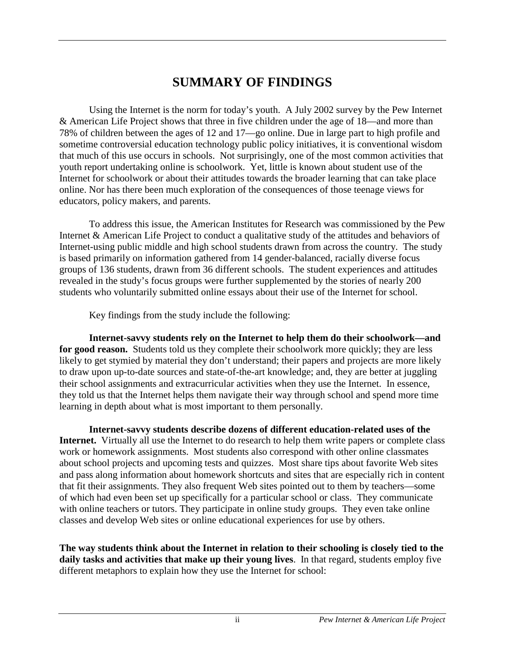# **SUMMARY OF FINDINGS**

<span id="page-2-0"></span>Using the Internet is the norm for today's youth. A July 2002 survey by the Pew Internet & American Life Project shows that three in five children under the age of 18—and more than 78% of children between the ages of 12 and 17—go online. Due in large part to high profile and sometime controversial education technology public policy initiatives, it is conventional wisdom that much of this use occurs in schools. Not surprisingly, one of the most common activities that youth report undertaking online is schoolwork. Yet, little is known about student use of the Internet for schoolwork or about their attitudes towards the broader learning that can take place online. Nor has there been much exploration of the consequences of those teenage views for educators, policy makers, and parents.

To address this issue, the American Institutes for Research was commissioned by the Pew Internet & American Life Project to conduct a qualitative study of the attitudes and behaviors of Internet-using public middle and high school students drawn from across the country. The study is based primarily on information gathered from 14 gender-balanced, racially diverse focus groups of 136 students, drawn from 36 different schools. The student experiences and attitudes revealed in the study's focus groups were further supplemented by the stories of nearly 200 students who voluntarily submitted online essays about their use of the Internet for school.

Key findings from the study include the following:

**Internet-savvy students rely on the Internet to help them do their schoolwork—and**  for good reason. Students told us they complete their schoolwork more quickly; they are less likely to get stymied by material they don't understand; their papers and projects are more likely to draw upon up-to-date sources and state-of-the-art knowledge; and, they are better at juggling their school assignments and extracurricular activities when they use the Internet. In essence, they told us that the Internet helps them navigate their way through school and spend more time learning in depth about what is most important to them personally.

**Internet-savvy students describe dozens of different education-related uses of the Internet.** Virtually all use the Internet to do research to help them write papers or complete class work or homework assignments. Most students also correspond with other online classmates about school projects and upcoming tests and quizzes. Most share tips about favorite Web sites and pass along information about homework shortcuts and sites that are especially rich in content that fit their assignments. They also frequent Web sites pointed out to them by teachers—some of which had even been set up specifically for a particular school or class. They communicate with online teachers or tutors. They participate in online study groups. They even take online classes and develop Web sites or online educational experiences for use by others.

**The way students think about the Internet in relation to their schooling is closely tied to the daily tasks and activities that make up their young lives**. In that regard, students employ five different metaphors to explain how they use the Internet for school: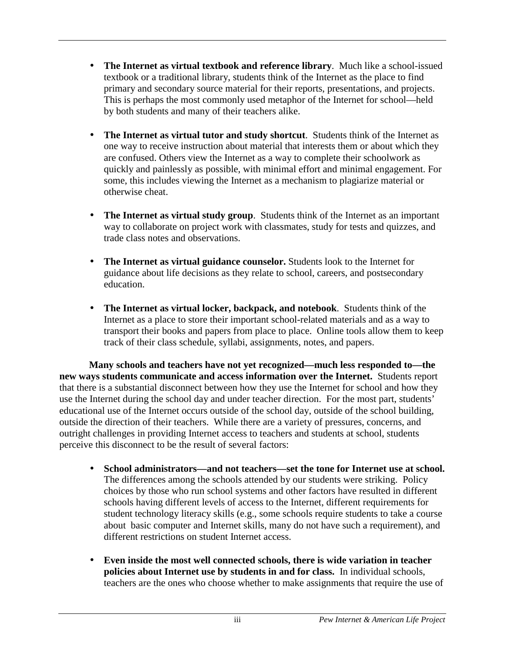- **The Internet as virtual textbook and reference library**. Much like a school-issued textbook or a traditional library, students think of the Internet as the place to find primary and secondary source material for their reports, presentations, and projects. This is perhaps the most commonly used metaphor of the Internet for school—held by both students and many of their teachers alike.
- **The Internet as virtual tutor and study shortcut**. Students think of the Internet as one way to receive instruction about material that interests them or about which they are confused. Others view the Internet as a way to complete their schoolwork as quickly and painlessly as possible, with minimal effort and minimal engagement. For some, this includes viewing the Internet as a mechanism to plagiarize material or otherwise cheat.
- **The Internet as virtual study group**. Students think of the Internet as an important way to collaborate on project work with classmates, study for tests and quizzes, and trade class notes and observations.
- **The Internet as virtual guidance counselor.** Students look to the Internet for guidance about life decisions as they relate to school, careers, and postsecondary education.
- **The Internet as virtual locker, backpack, and notebook**. Students think of the Internet as a place to store their important school-related materials and as a way to transport their books and papers from place to place. Online tools allow them to keep track of their class schedule, syllabi, assignments, notes, and papers.

**Many schools and teachers have not yet recognized—much less responded to—the new ways students communicate and access information over the Internet.** Students report that there is a substantial disconnect between how they use the Internet for school and how they use the Internet during the school day and under teacher direction. For the most part, students' educational use of the Internet occurs outside of the school day, outside of the school building, outside the direction of their teachers. While there are a variety of pressures, concerns, and outright challenges in providing Internet access to teachers and students at school, students perceive this disconnect to be the result of several factors:

- **School administrators—and not teachers—set the tone for Internet use at school.**  The differences among the schools attended by our students were striking. Policy choices by those who run school systems and other factors have resulted in different schools having different levels of access to the Internet, different requirements for student technology literacy skills (e.g., some schools require students to take a course about basic computer and Internet skills, many do not have such a requirement), and different restrictions on student Internet access.
- **Even inside the most well connected schools, there is wide variation in teacher policies about Internet use by students in and for class.** In individual schools, teachers are the ones who choose whether to make assignments that require the use of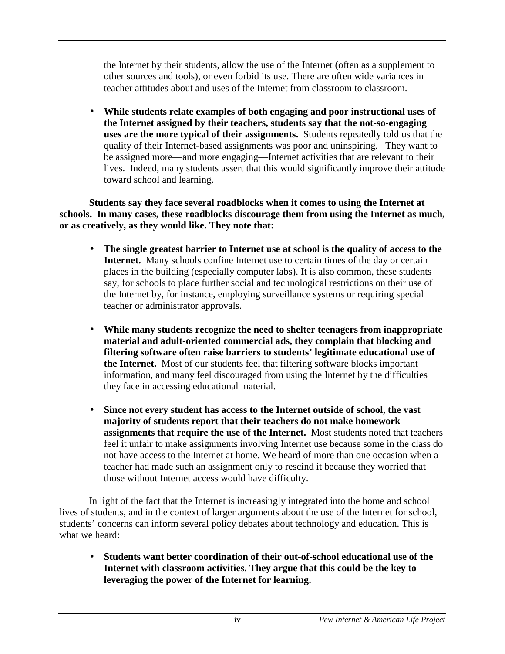the Internet by their students, allow the use of the Internet (often as a supplement to other sources and tools), or even forbid its use. There are often wide variances in teacher attitudes about and uses of the Internet from classroom to classroom.

• **While students relate examples of both engaging and poor instructional uses of the Internet assigned by their teachers, students say that the not-so-engaging uses are the more typical of their assignments.** Students repeatedly told us that the quality of their Internet-based assignments was poor and uninspiring. They want to be assigned more—and more engaging—Internet activities that are relevant to their lives. Indeed, many students assert that this would significantly improve their attitude toward school and learning.

**Students say they face several roadblocks when it comes to using the Internet at schools. In many cases, these roadblocks discourage them from using the Internet as much, or as creatively, as they would like. They note that:** 

- **The single greatest barrier to Internet use at school is the quality of access to the Internet.** Many schools confine Internet use to certain times of the day or certain places in the building (especially computer labs). It is also common, these students say, for schools to place further social and technological restrictions on their use of the Internet by, for instance, employing surveillance systems or requiring special teacher or administrator approvals.
- **While many students recognize the need to shelter teenagers from inappropriate material and adult-oriented commercial ads, they complain that blocking and filtering software often raise barriers to students' legitimate educational use of the Internet.** Most of our students feel that filtering software blocks important information, and many feel discouraged from using the Internet by the difficulties they face in accessing educational material.
- **Since not every student has access to the Internet outside of school, the vast majority of students report that their teachers do not make homework assignments that require the use of the Internet.** Most students noted that teachers feel it unfair to make assignments involving Internet use because some in the class do not have access to the Internet at home. We heard of more than one occasion when a teacher had made such an assignment only to rescind it because they worried that those without Internet access would have difficulty.

In light of the fact that the Internet is increasingly integrated into the home and school lives of students, and in the context of larger arguments about the use of the Internet for school, students' concerns can inform several policy debates about technology and education. This is what we heard:

• **Students want better coordination of their out-of-school educational use of the Internet with classroom activities. They argue that this could be the key to leveraging the power of the Internet for learning.**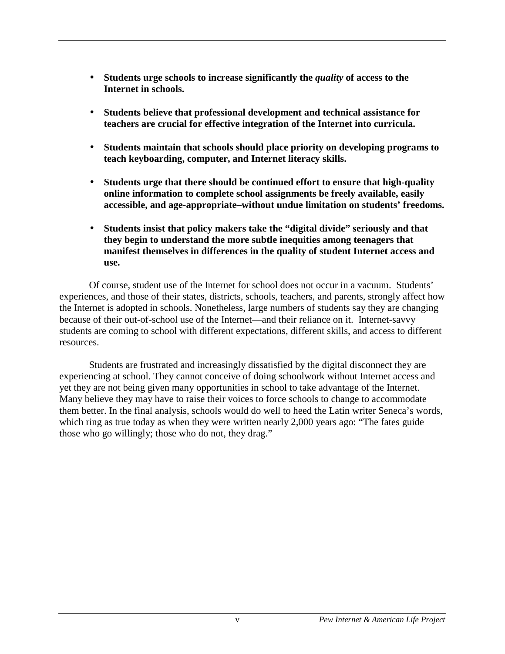- Students urge schools to increase significantly the *quality* of access to the **Internet in schools.**
- **Students believe that professional development and technical assistance for teachers are crucial for effective integration of the Internet into curricula.**
- **Students maintain that schools should place priority on developing programs to teach keyboarding, computer, and Internet literacy skills.**
- **Students urge that there should be continued effort to ensure that high-quality online information to complete school assignments be freely available, easily accessible, and age-appropriate–without undue limitation on students' freedoms.**
- **Students insist that policy makers take the "digital divide" seriously and that they begin to understand the more subtle inequities among teenagers that manifest themselves in differences in the quality of student Internet access and use.**

Of course, student use of the Internet for school does not occur in a vacuum. Students' experiences, and those of their states, districts, schools, teachers, and parents, strongly affect how the Internet is adopted in schools. Nonetheless, large numbers of students say they are changing because of their out-of-school use of the Internet—and their reliance on it. Internet-savvy students are coming to school with different expectations, different skills, and access to different resources.

Students are frustrated and increasingly dissatisfied by the digital disconnect they are experiencing at school. They cannot conceive of doing schoolwork without Internet access and yet they are not being given many opportunities in school to take advantage of the Internet. Many believe they may have to raise their voices to force schools to change to accommodate them better. In the final analysis, schools would do well to heed the Latin writer Seneca's words, which ring as true today as when they were written nearly 2,000 years ago: "The fates guide those who go willingly; those who do not, they drag."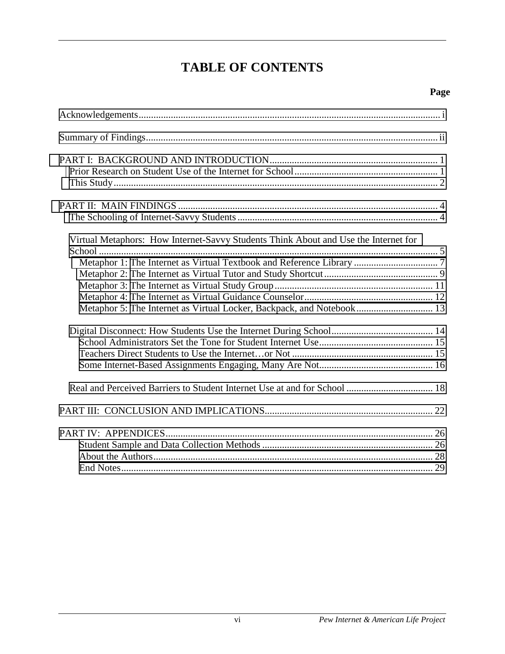# **TABLE OF CONTENTS**

| Virtual Metaphors: How Internet-Savvy Students Think About and Use the Internet for |  |
|-------------------------------------------------------------------------------------|--|
|                                                                                     |  |
|                                                                                     |  |
|                                                                                     |  |
|                                                                                     |  |
| Metaphor 5: The Internet as Virtual Locker, Backpack, and Notebook 13               |  |
|                                                                                     |  |
|                                                                                     |  |
|                                                                                     |  |
|                                                                                     |  |
|                                                                                     |  |
|                                                                                     |  |
| PART IV: APPENDICES                                                                 |  |
|                                                                                     |  |
|                                                                                     |  |
|                                                                                     |  |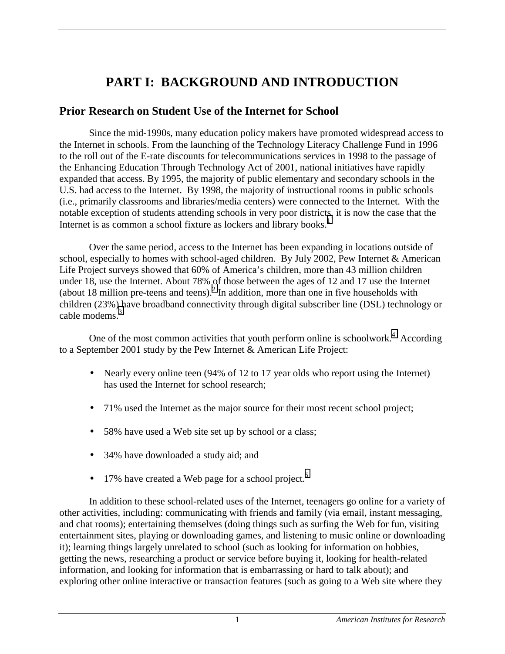# **PART I: BACKGROUND AND INTRODUCTION**

## <span id="page-7-0"></span>**Prior Research on Student Use of the Internet for School**

Since the mid-1990s, many education policy makers have promoted widespread access to the Internet in schools. From the launching of the Technology Literacy Challenge Fund in 1996 to the roll out of the E-rate discounts for telecommunications services in 1998 to the passage of the Enhancing Education Through Technology Act of 2001, national initiatives have rapidly expanded that access. By 1995, the majority of public elementary and secondary schools in the U.S. had access to the Internet. By 1998, the majority of instructional rooms in public schools (i.e., primarily classrooms and libraries/media centers) were connected to the Internet. With the notable exception of students attending schools in very poor districts, it is now the case that the Internet is as common a school fixture as lockers and library books. $<sup>1</sup>$  $<sup>1</sup>$  $<sup>1</sup>$ </sup>

Over the same period, access to the Internet has been expanding in locations outside of school, especially to homes with school-aged children. By July 2002, Pew Internet & American Life Project surveys showed that 60% of America's children, more than 43 million children under 18, use the Internet. About 78% of those between the ages of 12 and 17 use the Internet (about 18 million pre-teens and teens).<sup>[2](#page-36-0)</sup> In addition, more than one in five households with children (23%) have broadband connectivity through digital subscriber line (DSL) technology or cable modems.<sup>[3](#page-36-0)</sup>

One of the most common activities that youth perform online is schoolwork. $4$  According to a September 2001 study by the Pew Internet & American Life Project:

- Nearly every online teen (94% of 12 to 17 year olds who report using the Internet) has used the Internet for school research;
- 71% used the Internet as the major source for their most recent school project;
- 58% have used a Web site set up by school or a class;
- 34% have downloaded a study aid; and
- $\bullet$  17% have created a Web page for a school project.<sup>[5](#page-36-0)</sup>

In addition to these school-related uses of the Internet, teenagers go online for a variety of other activities, including: communicating with friends and family (via email, instant messaging, and chat rooms); entertaining themselves (doing things such as surfing the Web for fun, visiting entertainment sites, playing or downloading games, and listening to music online or downloading it); learning things largely unrelated to school (such as looking for information on hobbies, getting the news, researching a product or service before buying it, looking for health-related information, and looking for information that is embarrassing or hard to talk about); and exploring other online interactive or transaction features (such as going to a Web site where they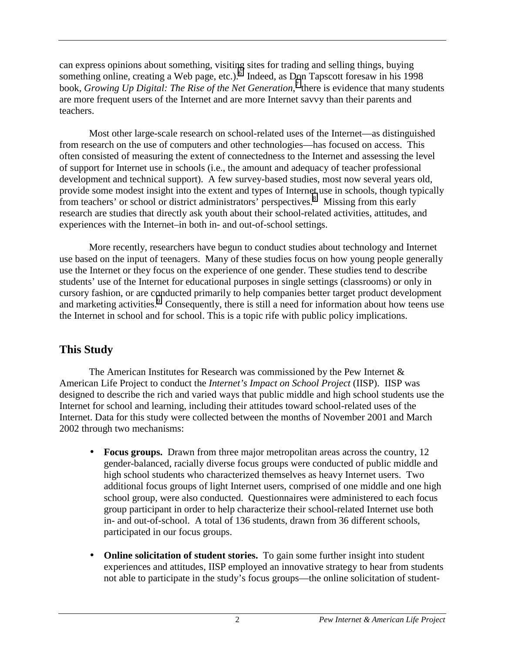<span id="page-8-0"></span>can express opinions about something, visiting sites for trading and selling things, buying something online, creating a Web page, etc.). Indeed, as Don Tapscott foresaw in his 1998 book, *Growing Up Digital: The Rise of the Net Generation*,<sup>[7](#page-36-0)</sup> there is evidence that many students are more frequent users of the Internet and are more Internet savvy than their parents and teachers.

Most other large-scale research on school-related uses of the Internet—as distinguished from research on the use of computers and other technologies—has focused on access. This often consisted of measuring the extent of connectedness to the Internet and assessing the level of support for Internet use in schools (i.e., the amount and adequacy of teacher professional development and technical support). A few survey-based studies, most now several years old, provide some modest insight into the extent and types of Internet use in schools, though typically from teachers' or school or district administrators' perspectives.<sup>[8](#page-36-0)</sup> Missing from this early research are studies that directly ask youth about their school-related activities, attitudes, and experiences with the Internet–in both in- and out-of-school settings.

More recently, researchers have begun to conduct studies about technology and Internet use based on the input of teenagers. Many of these studies focus on how young people generally use the Internet or they focus on the experience of one gender. These studies tend to describe students' use of the Internet for educational purposes in single settings (classrooms) or only in cursory fashion, or are conducted primarily to help companies better target product development and marketing activities.<sup>9</sup> Consequently, there is still a need for information about how teens use the Internet in school and for school. This is a topic rife with public policy implications.

# **This Study**

The American Institutes for Research was commissioned by the Pew Internet  $\&$ American Life Project to conduct the *Internet's Impact on School Project* (IISP). IISP was designed to describe the rich and varied ways that public middle and high school students use the Internet for school and learning, including their attitudes toward school-related uses of the Internet. Data for this study were collected between the months of November 2001 and March 2002 through two mechanisms:

- **Focus groups.** Drawn from three major metropolitan areas across the country, 12 gender-balanced, racially diverse focus groups were conducted of public middle and high school students who characterized themselves as heavy Internet users. Two additional focus groups of light Internet users, comprised of one middle and one high school group, were also conducted. Questionnaires were administered to each focus group participant in order to help characterize their school-related Internet use both in- and out-of-school. A total of 136 students, drawn from 36 different schools, participated in our focus groups.
- **Online solicitation of student stories.** To gain some further insight into student experiences and attitudes, IISP employed an innovative strategy to hear from students not able to participate in the study's focus groups—the online solicitation of student-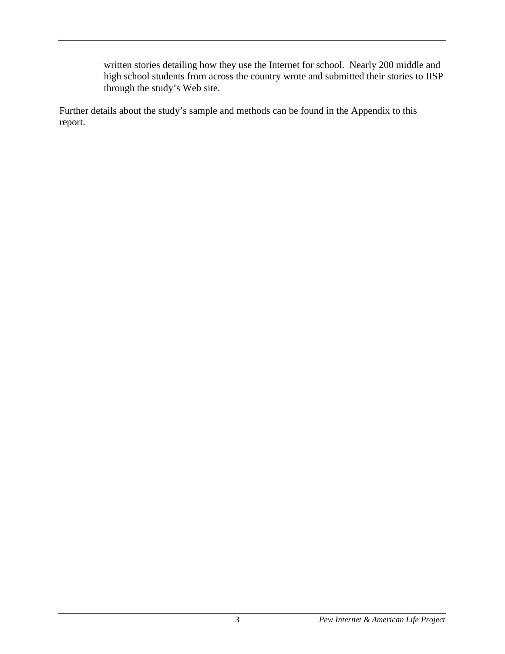written stories detailing how they use the Internet for school. Nearly 200 middle and high school students from across the country wrote and submitted their stories to IISP through the study's Web site.

Further details about the study's sample and methods can be found in the Appendix to this report.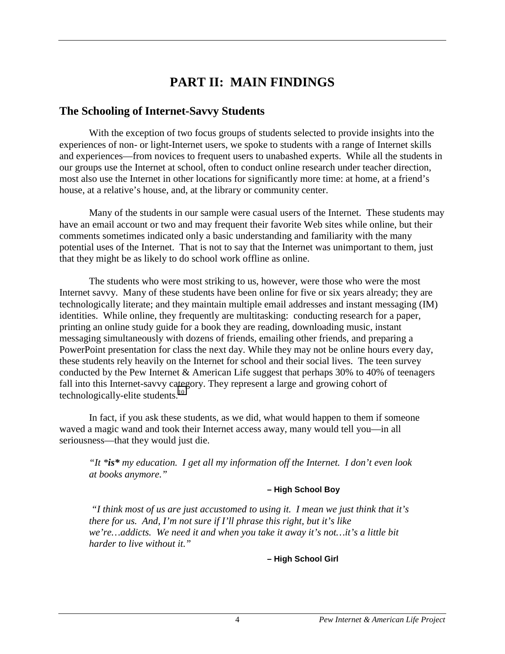# **PART II: MAIN FINDINGS**

## <span id="page-10-0"></span>**The Schooling of Internet-Savvy Students**

With the exception of two focus groups of students selected to provide insights into the experiences of non- or light-Internet users, we spoke to students with a range of Internet skills and experiences—from novices to frequent users to unabashed experts. While all the students in our groups use the Internet at school, often to conduct online research under teacher direction, most also use the Internet in other locations for significantly more time: at home, at a friend's house, at a relative's house, and, at the library or community center.

Many of the students in our sample were casual users of the Internet. These students may have an email account or two and may frequent their favorite Web sites while online, but their comments sometimes indicated only a basic understanding and familiarity with the many potential uses of the Internet. That is not to say that the Internet was unimportant to them, just that they might be as likely to do school work offline as online.

The students who were most striking to us, however, were those who were the most Internet savvy. Many of these students have been online for five or six years already; they are technologically literate; and they maintain multiple email addresses and instant messaging (IM) identities. While online, they frequently are multitasking: conducting research for a paper, printing an online study guide for a book they are reading, downloading music, instant messaging simultaneously with dozens of friends, emailing other friends, and preparing a PowerPoint presentation for class the next day. While they may not be online hours every day, these students rely heavily on the Internet for school and their social lives. The teen survey conducted by the Pew Internet & American Life suggest that perhaps 30% to 40% of teenagers fall into this Internet-savvy category. They represent a large and growing cohort of technologically-elite students.<sup>10</sup>

In fact, if you ask these students, as we did, what would happen to them if someone waved a magic wand and took their Internet access away, many would tell you—in all seriousness—that they would just die.

*"It \*is\* my education. I get all my information off the Internet. I don't even look at books anymore."* 

#### **– High School Boy**

 *"I think most of us are just accustomed to using it. I mean we just think that it's there for us. And, I'm not sure if I'll phrase this right, but it's like we're…addicts. We need it and when you take it away it's not…it's a little bit harder to live without it."* 

**– High School Girl**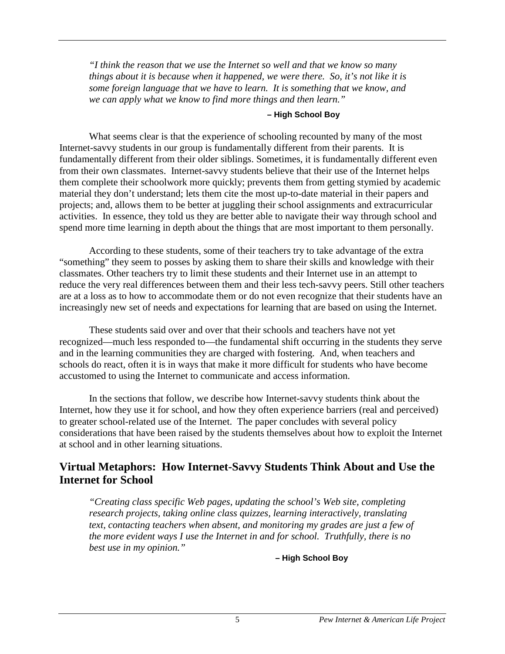<span id="page-11-0"></span>*"I think the reason that we use the Internet so well and that we know so many things about it is because when it happened, we were there. So, it's not like it is some foreign language that we have to learn. It is something that we know, and we can apply what we know to find more things and then learn."* 

#### **– High School Boy**

What seems clear is that the experience of schooling recounted by many of the most Internet-savvy students in our group is fundamentally different from their parents. It is fundamentally different from their older siblings. Sometimes, it is fundamentally different even from their own classmates. Internet-savvy students believe that their use of the Internet helps them complete their schoolwork more quickly; prevents them from getting stymied by academic material they don't understand; lets them cite the most up-to-date material in their papers and projects; and, allows them to be better at juggling their school assignments and extracurricular activities. In essence, they told us they are better able to navigate their way through school and spend more time learning in depth about the things that are most important to them personally.

According to these students, some of their teachers try to take advantage of the extra "something" they seem to posses by asking them to share their skills and knowledge with their classmates. Other teachers try to limit these students and their Internet use in an attempt to reduce the very real differences between them and their less tech-savvy peers. Still other teachers are at a loss as to how to accommodate them or do not even recognize that their students have an increasingly new set of needs and expectations for learning that are based on using the Internet.

These students said over and over that their schools and teachers have not yet recognized—much less responded to—the fundamental shift occurring in the students they serve and in the learning communities they are charged with fostering. And, when teachers and schools do react, often it is in ways that make it more difficult for students who have become accustomed to using the Internet to communicate and access information.

In the sections that follow, we describe how Internet-savvy students think about the Internet, how they use it for school, and how they often experience barriers (real and perceived) to greater school-related use of the Internet. The paper concludes with several policy considerations that have been raised by the students themselves about how to exploit the Internet at school and in other learning situations.

# **Virtual Metaphors: How Internet-Savvy Students Think About and Use the Internet for School**

*"Creating class specific Web pages, updating the school's Web site, completing research projects, taking online class quizzes, learning interactively, translating text, contacting teachers when absent, and monitoring my grades are just a few of the more evident ways I use the Internet in and for school. Truthfully, there is no best use in my opinion."*

**– High School Boy**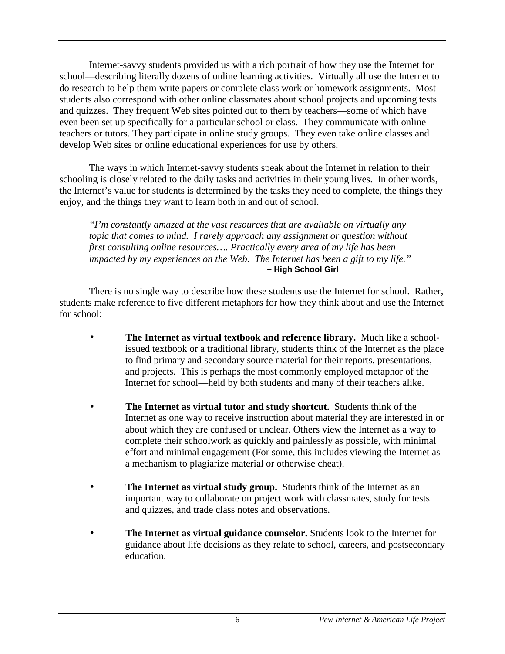Internet-savvy students provided us with a rich portrait of how they use the Internet for school—describing literally dozens of online learning activities. Virtually all use the Internet to do research to help them write papers or complete class work or homework assignments. Most students also correspond with other online classmates about school projects and upcoming tests and quizzes. They frequent Web sites pointed out to them by teachers—some of which have even been set up specifically for a particular school or class. They communicate with online teachers or tutors. They participate in online study groups. They even take online classes and develop Web sites or online educational experiences for use by others.

The ways in which Internet-savvy students speak about the Internet in relation to their schooling is closely related to the daily tasks and activities in their young lives. In other words, the Internet's value for students is determined by the tasks they need to complete, the things they enjoy, and the things they want to learn both in and out of school.

*"I'm constantly amazed at the vast resources that are available on virtually any topic that comes to mind. I rarely approach any assignment or question without first consulting online resources…. Practically every area of my life has been impacted by my experiences on the Web. The Internet has been a gift to my life."* **– High School Girl** 

There is no single way to describe how these students use the Internet for school. Rather, students make reference to five different metaphors for how they think about and use the Internet for school:

- **The Internet as virtual textbook and reference library.** Much like a schoolissued textbook or a traditional library, students think of the Internet as the place to find primary and secondary source material for their reports, presentations, and projects. This is perhaps the most commonly employed metaphor of the Internet for school—held by both students and many of their teachers alike.
- **The Internet as virtual tutor and study shortcut.** Students think of the Internet as one way to receive instruction about material they are interested in or about which they are confused or unclear. Others view the Internet as a way to complete their schoolwork as quickly and painlessly as possible, with minimal effort and minimal engagement (For some, this includes viewing the Internet as a mechanism to plagiarize material or otherwise cheat).
- **The Internet as virtual study group.** Students think of the Internet as an important way to collaborate on project work with classmates, study for tests and quizzes, and trade class notes and observations.
- **The Internet as virtual guidance counselor.** Students look to the Internet for guidance about life decisions as they relate to school, careers, and postsecondary education.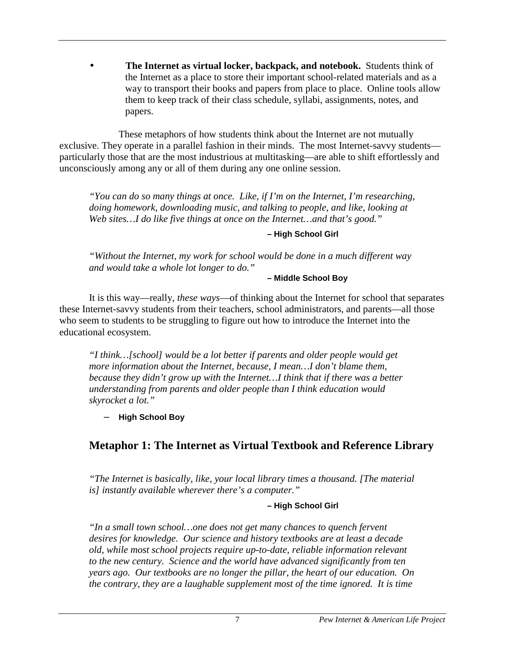<span id="page-13-0"></span>• **The Internet as virtual locker, backpack, and notebook.** Students think of the Internet as a place to store their important school-related materials and as a way to transport their books and papers from place to place. Online tools allow them to keep track of their class schedule, syllabi, assignments, notes, and papers.

 These metaphors of how students think about the Internet are not mutually exclusive. They operate in a parallel fashion in their minds. The most Internet-savvy students particularly those that are the most industrious at multitasking—are able to shift effortlessly and unconsciously among any or all of them during any one online session.

*"You can do so many things at once. Like, if I'm on the Internet, I'm researching, doing homework, downloading music, and talking to people, and like, looking at Web sites…I do like five things at once on the Internet…and that's good."* 

**– High School Girl** 

*"Without the Internet, my work for school would be done in a much different way and would take a whole lot longer to do."* 

**– Middle School Boy** 

It is this way—really, *these ways*—of thinking about the Internet for school that separates these Internet-savvy students from their teachers, school administrators, and parents—all those who seem to students to be struggling to figure out how to introduce the Internet into the educational ecosystem.

*"I think…[school] would be a lot better if parents and older people would get more information about the Internet, because, I mean…I don't blame them, because they didn't grow up with the Internet…I think that if there was a better understanding from parents and older people than I think education would skyrocket a lot."* 

– **High School Boy**

# **Metaphor 1: The Internet as Virtual Textbook and Reference Library**

*"The Internet is basically, like, your local library times a thousand. [The material is] instantly available wherever there's a computer."* 

#### **– High School Girl**

*"In a small town school…one does not get many chances to quench fervent desires for knowledge. Our science and history textbooks are at least a decade old, while most school projects require up-to-date, reliable information relevant to the new century. Science and the world have advanced significantly from ten years ago. Our textbooks are no longer the pillar, the heart of our education. On the contrary, they are a laughable supplement most of the time ignored. It is time*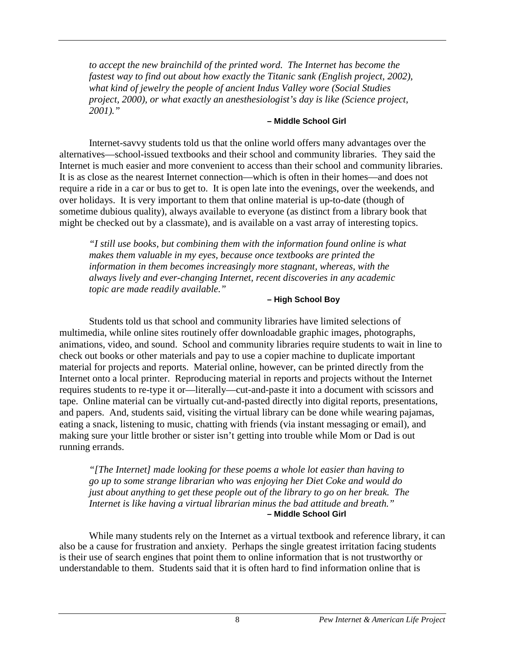*to accept the new brainchild of the printed word. The Internet has become the fastest way to find out about how exactly the Titanic sank (English project, 2002), what kind of jewelry the people of ancient Indus Valley wore (Social Studies project, 2000), or what exactly an anesthesiologist's day is like (Science project, 2001)."* 

#### **– Middle School Girl**

 Internet-savvy students told us that the online world offers many advantages over the alternatives—school-issued textbooks and their school and community libraries. They said the Internet is much easier and more convenient to access than their school and community libraries. It is as close as the nearest Internet connection—which is often in their homes—and does not require a ride in a car or bus to get to. It is open late into the evenings, over the weekends, and over holidays. It is very important to them that online material is up-to-date (though of sometime dubious quality), always available to everyone (as distinct from a library book that might be checked out by a classmate), and is available on a vast array of interesting topics.

*"I still use books, but combining them with the information found online is what makes them valuable in my eyes, because once textbooks are printed the information in them becomes increasingly more stagnant, whereas, with the always lively and ever-changing Internet, recent discoveries in any academic topic are made readily available."* 

#### **– High School Boy**

Students told us that school and community libraries have limited selections of multimedia, while online sites routinely offer downloadable graphic images, photographs, animations, video, and sound. School and community libraries require students to wait in line to check out books or other materials and pay to use a copier machine to duplicate important material for projects and reports. Material online, however, can be printed directly from the Internet onto a local printer. Reproducing material in reports and projects without the Internet requires students to re-type it or—literally—cut-and-paste it into a document with scissors and tape. Online material can be virtually cut-and-pasted directly into digital reports, presentations, and papers. And, students said, visiting the virtual library can be done while wearing pajamas, eating a snack, listening to music, chatting with friends (via instant messaging or email), and making sure your little brother or sister isn't getting into trouble while Mom or Dad is out running errands.

*"[The Internet] made looking for these poems a whole lot easier than having to go up to some strange librarian who was enjoying her Diet Coke and would do just about anything to get these people out of the library to go on her break. The Internet is like having a virtual librarian minus the bad attitude and breath."*  **– Middle School Girl**

 While many students rely on the Internet as a virtual textbook and reference library, it can also be a cause for frustration and anxiety. Perhaps the single greatest irritation facing students is their use of search engines that point them to online information that is not trustworthy or understandable to them. Students said that it is often hard to find information online that is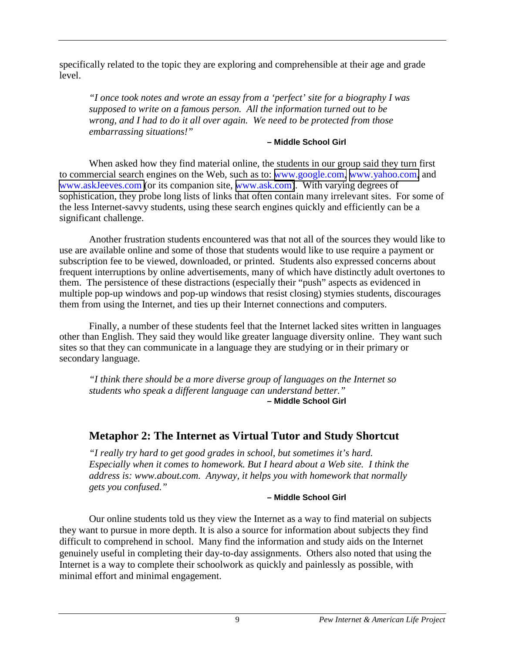<span id="page-15-0"></span>specifically related to the topic they are exploring and comprehensible at their age and grade level.

*"I once took notes and wrote an essay from a 'perfect' site for a biography I was supposed to write on a famous person. All the information turned out to be wrong, and I had to do it all over again. We need to be protected from those embarrassing situations!"* 

#### **– Middle School Girl**

When asked how they find material online, the students in our group said they turn first to commercial search engines on the Web, such as to: [www.google.com,](http://www.google.com/) [www.yahoo.com,](http://www.yahoo.com/) and [www.askJeeves.com \(](http://www.askjeeves.com/)or its companion site, [www.ask.com\)](http://www.ask.com/). With varying degrees of sophistication, they probe long lists of links that often contain many irrelevant sites. For some of the less Internet-savvy students, using these search engines quickly and efficiently can be a significant challenge.

Another frustration students encountered was that not all of the sources they would like to use are available online and some of those that students would like to use require a payment or subscription fee to be viewed, downloaded, or printed. Students also expressed concerns about frequent interruptions by online advertisements, many of which have distinctly adult overtones to them. The persistence of these distractions (especially their "push" aspects as evidenced in multiple pop-up windows and pop-up windows that resist closing) stymies students, discourages them from using the Internet, and ties up their Internet connections and computers.

Finally, a number of these students feel that the Internet lacked sites written in languages other than English. They said they would like greater language diversity online. They want such sites so that they can communicate in a language they are studying or in their primary or secondary language.

*"I think there should be a more diverse group of languages on the Internet so students who speak a different language can understand better."*  **– Middle School Girl**

# **Metaphor 2: The Internet as Virtual Tutor and Study Shortcut**

*"I really try hard to get good grades in school, but sometimes it's hard. Especially when it comes to homework. But I heard about a Web site. I think the address is: www.about.com. Anyway, it helps you with homework that normally gets you confused."* 

#### **– Middle School Girl**

Our online students told us they view the Internet as a way to find material on subjects they want to pursue in more depth. It is also a source for information about subjects they find difficult to comprehend in school. Many find the information and study aids on the Internet genuinely useful in completing their day-to-day assignments. Others also noted that using the Internet is a way to complete their schoolwork as quickly and painlessly as possible, with minimal effort and minimal engagement.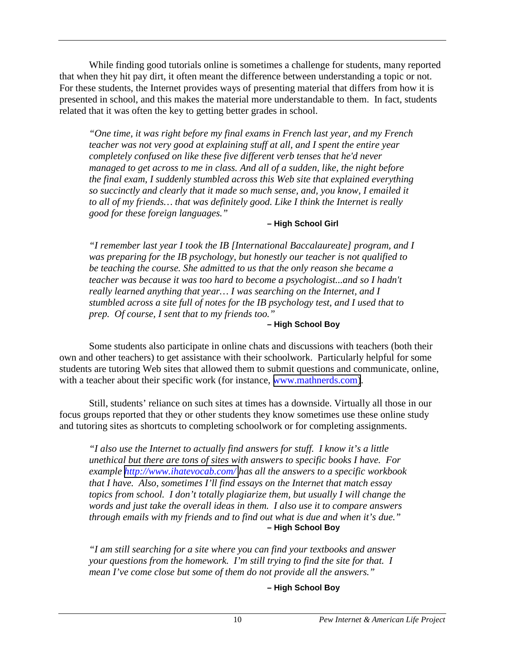While finding good tutorials online is sometimes a challenge for students, many reported that when they hit pay dirt, it often meant the difference between understanding a topic or not. For these students, the Internet provides ways of presenting material that differs from how it is presented in school, and this makes the material more understandable to them. In fact, students related that it was often the key to getting better grades in school.

*"One time, it was right before my final exams in French last year, and my French teacher was not very good at explaining stuff at all, and I spent the entire year completely confused on like these five different verb tenses that he'd never managed to get across to me in class. And all of a sudden, like, the night before the final exam, I suddenly stumbled across this Web site that explained everything so succinctly and clearly that it made so much sense, and, you know, I emailed it to all of my friends… that was definitely good. Like I think the Internet is really good for these foreign languages."* 

#### **– High School Girl**

*"I remember last year I took the IB [International Baccalaureate] program, and I was preparing for the IB psychology, but honestly our teacher is not qualified to be teaching the course. She admitted to us that the only reason she became a teacher was because it was too hard to become a psychologist...and so I hadn't really learned anything that year… I was searching on the Internet, and I stumbled across a site full of notes for the IB psychology test, and I used that to prep. Of course, I sent that to my friends too."* 

#### **– High School Boy**

Some students also participate in online chats and discussions with teachers (both their own and other teachers) to get assistance with their schoolwork. Particularly helpful for some students are tutoring Web sites that allowed them to submit questions and communicate, online, with a teacher about their specific work (for instance, [www.mathnerds.com\)](http://www.mathnerds.com/).

Still, students' reliance on such sites at times has a downside. Virtually all those in our focus groups reported that they or other students they know sometimes use these online study and tutoring sites as shortcuts to completing schoolwork or for completing assignments.

*"I also use the Internet to actually find answers for stuff. I know it's a little unethical but there are tons of sites with answers to specific books I have. For example <http://www.ihatevocab.com/> has all the answers to a specific workbook that I have. Also, sometimes I'll find essays on the Internet that match essay topics from school. I don't totally plagiarize them, but usually I will change the words and just take the overall ideas in them. I also use it to compare answers through emails with my friends and to find out what is due and when it's due."*  **– High School Boy**

*"I am still searching for a site where you can find your textbooks and answer your questions from the homework. I'm still trying to find the site for that. I mean I've come close but some of them do not provide all the answers."* 

#### **– High School Boy**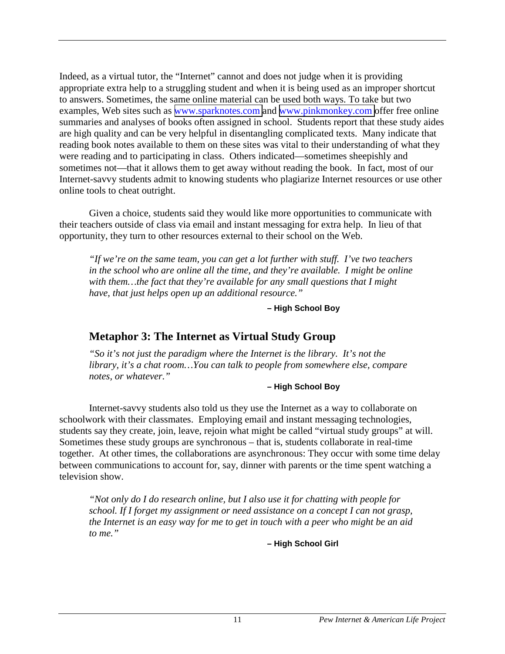<span id="page-17-0"></span>Indeed, as a virtual tutor, the "Internet" cannot and does not judge when it is providing appropriate extra help to a struggling student and when it is being used as an improper shortcut to answers. Sometimes, the same online material can be used both ways. To take but two examples, Web sites such as [www.sparknotes.com](http://www.sparknotes.com/) and [www.pinkmonkey.com](http://www.pinkmonkey.com/) offer free online summaries and analyses of books often assigned in school. Students report that these study aides are high quality and can be very helpful in disentangling complicated texts. Many indicate that reading book notes available to them on these sites was vital to their understanding of what they were reading and to participating in class. Others indicated—sometimes sheepishly and sometimes not—that it allows them to get away without reading the book. In fact, most of our Internet-savvy students admit to knowing students who plagiarize Internet resources or use other online tools to cheat outright.

Given a choice, students said they would like more opportunities to communicate with their teachers outside of class via email and instant messaging for extra help. In lieu of that opportunity, they turn to other resources external to their school on the Web.

*"If we're on the same team, you can get a lot further with stuff. I've two teachers in the school who are online all the time, and they're available. I might be online with them…the fact that they're available for any small questions that I might have, that just helps open up an additional resource."* 

**– High School Boy** 

# **Metaphor 3: The Internet as Virtual Study Group**

*"So it's not just the paradigm where the Internet is the library. It's not the library, it's a chat room…You can talk to people from somewhere else, compare notes, or whatever."* 

#### **– High School Boy**

Internet-savvy students also told us they use the Internet as a way to collaborate on schoolwork with their classmates. Employing email and instant messaging technologies, students say they create, join, leave, rejoin what might be called "virtual study groups" at will. Sometimes these study groups are synchronous – that is, students collaborate in real-time together. At other times, the collaborations are asynchronous: They occur with some time delay between communications to account for, say, dinner with parents or the time spent watching a television show.

*"Not only do I do research online, but I also use it for chatting with people for school. If I forget my assignment or need assistance on a concept I can not grasp, the Internet is an easy way for me to get in touch with a peer who might be an aid to me."* 

**– High School Girl**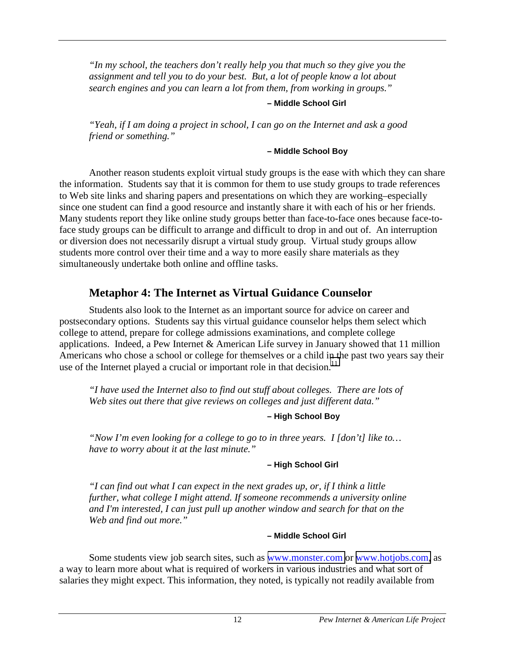<span id="page-18-0"></span>*"In my school, the teachers don't really help you that much so they give you the assignment and tell you to do your best. But, a lot of people know a lot about search engines and you can learn a lot from them, from working in groups."* 

#### **– Middle School Girl**

*"Yeah, if I am doing a project in school, I can go on the Internet and ask a good friend or something."* 

#### **– Middle School Boy**

Another reason students exploit virtual study groups is the ease with which they can share the information. Students say that it is common for them to use study groups to trade references to Web site links and sharing papers and presentations on which they are working–especially since one student can find a good resource and instantly share it with each of his or her friends. Many students report they like online study groups better than face-to-face ones because face-toface study groups can be difficult to arrange and difficult to drop in and out of. An interruption or diversion does not necessarily disrupt a virtual study group. Virtual study groups allow students more control over their time and a way to more easily share materials as they simultaneously undertake both online and offline tasks.

# **Metaphor 4: The Internet as Virtual Guidance Counselor**

Students also look to the Internet as an important source for advice on career and postsecondary options. Students say this virtual guidance counselor helps them select which college to attend, prepare for college admissions examinations, and complete college applications. Indeed, a Pew Internet & American Life survey in January showed that 11 million Americans who chose a school or college for themselves or a child in the past two years say their use of the Internet played a crucial or important role in that decision.<sup>11</sup>

*"I have used the Internet also to find out stuff about colleges. There are lots of Web sites out there that give reviews on colleges and just different data."* 

#### **– High School Boy**

*"Now I'm even looking for a college to go to in three years. I [don't] like to… have to worry about it at the last minute."* 

#### **– High School Girl**

*"I can find out what I can expect in the next grades up, or, if I think a little further, what college I might attend. If someone recommends a university online and I'm interested, I can just pull up another window and search for that on the Web and find out more."* 

#### **– Middle School Girl**

Some students view job search sites, such as [www.monster.com](http://www.monster.com/) or [www.hotjobs.com,](http://www.hotjobs.com/) as a way to learn more about what is required of workers in various industries and what sort of salaries they might expect. This information, they noted, is typically not readily available from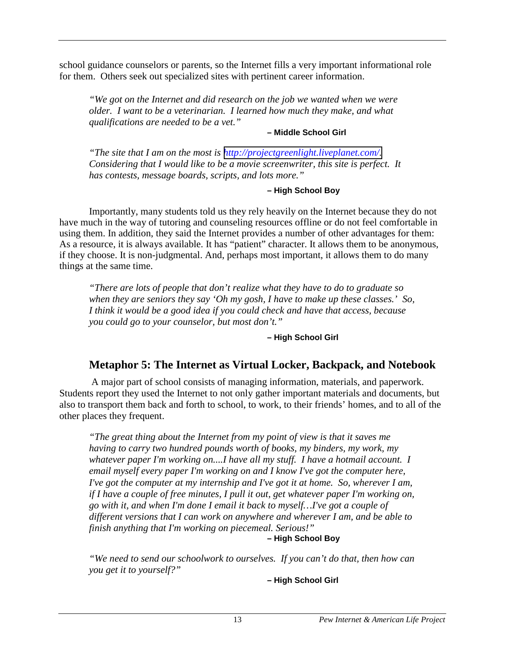<span id="page-19-0"></span>school guidance counselors or parents, so the Internet fills a very important informational role for them. Others seek out specialized sites with pertinent career information.

*"We got on the Internet and did research on the job we wanted when we were older. I want to be a veterinarian. I learned how much they make, and what qualifications are needed to be a vet."* 

#### **– Middle School Girl**

*"The site that I am on the most is [http://projectgreenlight.liveplanet.com/.](http://projectgreenlight.liveplanet.com/) Considering that I would like to be a movie screenwriter, this site is perfect. It has contests, message boards, scripts, and lots more."* 

#### **– High School Boy**

Importantly, many students told us they rely heavily on the Internet because they do not have much in the way of tutoring and counseling resources offline or do not feel comfortable in using them. In addition, they said the Internet provides a number of other advantages for them: As a resource, it is always available. It has "patient" character. It allows them to be anonymous, if they choose. It is non-judgmental. And, perhaps most important, it allows them to do many things at the same time.

*"There are lots of people that don't realize what they have to do to graduate so when they are seniors they say 'Oh my gosh, I have to make up these classes.' So, I think it would be a good idea if you could check and have that access, because you could go to your counselor, but most don't."* 

#### **– High School Girl**

# **Metaphor 5: The Internet as Virtual Locker, Backpack, and Notebook**

 A major part of school consists of managing information, materials, and paperwork. Students report they used the Internet to not only gather important materials and documents, but also to transport them back and forth to school, to work, to their friends' homes, and to all of the other places they frequent.

*"The great thing about the Internet from my point of view is that it saves me having to carry two hundred pounds worth of books, my binders, my work, my whatever paper I'm working on....I have all my stuff. I have a hotmail account. I email myself every paper I'm working on and I know I've got the computer here, I've got the computer at my internship and I've got it at home. So, wherever I am, if I have a couple of free minutes, I pull it out, get whatever paper I'm working on, go with it, and when I'm done I email it back to myself…I've got a couple of different versions that I can work on anywhere and wherever I am, and be able to finish anything that I'm working on piecemeal. Serious!"* 

## **– High School Boy**

*"We need to send our schoolwork to ourselves. If you can't do that, then how can you get it to yourself?"* 

**– High School Girl**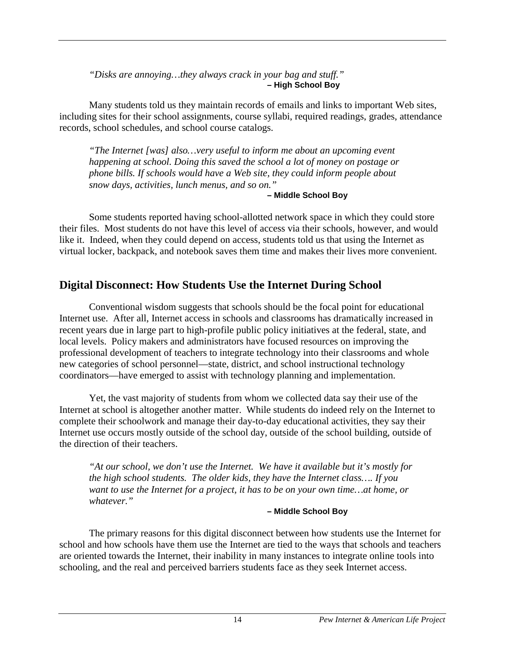<span id="page-20-0"></span>*"Disks are annoying…they always crack in your bag and stuff."*  **– High School Boy** 

Many students told us they maintain records of emails and links to important Web sites, including sites for their school assignments, course syllabi, required readings, grades, attendance records, school schedules, and school course catalogs.

*"The Internet [was] also…very useful to inform me about an upcoming event happening at school. Doing this saved the school a lot of money on postage or phone bills. If schools would have a Web site, they could inform people about snow days, activities, lunch menus, and so on."* 

#### **– Middle School Boy**

Some students reported having school-allotted network space in which they could store their files. Most students do not have this level of access via their schools, however, and would like it. Indeed, when they could depend on access, students told us that using the Internet as virtual locker, backpack, and notebook saves them time and makes their lives more convenient.

# **Digital Disconnect: How Students Use the Internet During School**

Conventional wisdom suggests that schools should be the focal point for educational Internet use. After all, Internet access in schools and classrooms has dramatically increased in recent years due in large part to high-profile public policy initiatives at the federal, state, and local levels. Policy makers and administrators have focused resources on improving the professional development of teachers to integrate technology into their classrooms and whole new categories of school personnel—state, district, and school instructional technology coordinators—have emerged to assist with technology planning and implementation.

Yet, the vast majority of students from whom we collected data say their use of the Internet at school is altogether another matter. While students do indeed rely on the Internet to complete their schoolwork and manage their day-to-day educational activities, they say their Internet use occurs mostly outside of the school day, outside of the school building, outside of the direction of their teachers.

*"At our school, we don't use the Internet. We have it available but it's mostly for the high school students. The older kids, they have the Internet class…. If you want to use the Internet for a project, it has to be on your own time…at home, or whatever."* 

#### **– Middle School Boy**

The primary reasons for this digital disconnect between how students use the Internet for school and how schools have them use the Internet are tied to the ways that schools and teachers are oriented towards the Internet, their inability in many instances to integrate online tools into schooling, and the real and perceived barriers students face as they seek Internet access.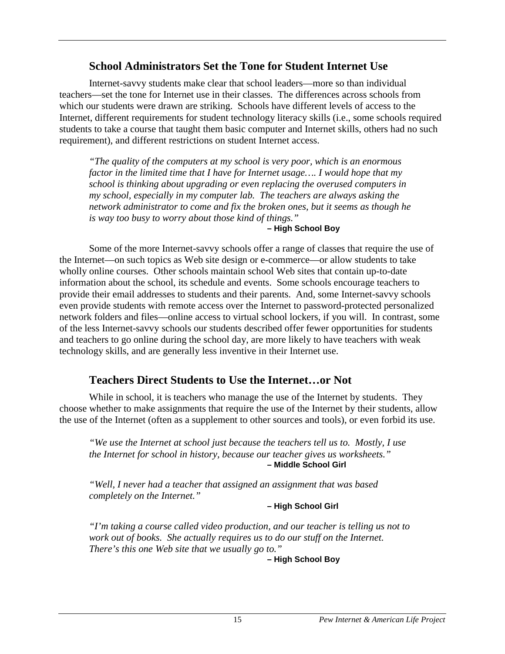# **School Administrators Set the Tone for Student Internet Use**

<span id="page-21-0"></span> Internet-savvy students make clear that school leaders—more so than individual teachers—set the tone for Internet use in their classes. The differences across schools from which our students were drawn are striking. Schools have different levels of access to the Internet, different requirements for student technology literacy skills (i.e., some schools required students to take a course that taught them basic computer and Internet skills, others had no such requirement), and different restrictions on student Internet access.

*"The quality of the computers at my school is very poor, which is an enormous factor in the limited time that I have for Internet usage…. I would hope that my school is thinking about upgrading or even replacing the overused computers in my school, especially in my computer lab. The teachers are always asking the network administrator to come and fix the broken ones, but it seems as though he is way too busy to worry about those kind of things."* 

#### **– High School Boy**

Some of the more Internet-savvy schools offer a range of classes that require the use of the Internet—on such topics as Web site design or e-commerce—or allow students to take wholly online courses. Other schools maintain school Web sites that contain up-to-date information about the school, its schedule and events. Some schools encourage teachers to provide their email addresses to students and their parents. And, some Internet-savvy schools even provide students with remote access over the Internet to password-protected personalized network folders and files—online access to virtual school lockers, if you will. In contrast, some of the less Internet-savvy schools our students described offer fewer opportunities for students and teachers to go online during the school day, are more likely to have teachers with weak technology skills, and are generally less inventive in their Internet use.

# **Teachers Direct Students to Use the Internet…or Not**

While in school, it is teachers who manage the use of the Internet by students. They choose whether to make assignments that require the use of the Internet by their students, allow the use of the Internet (often as a supplement to other sources and tools), or even forbid its use.

*"We use the Internet at school just because the teachers tell us to. Mostly, I use the Internet for school in history, because our teacher gives us worksheets."*  **– Middle School Girl** 

*"Well, I never had a teacher that assigned an assignment that was based completely on the Internet."* 

**– High School Girl** 

*"I'm taking a course called video production, and our teacher is telling us not to work out of books. She actually requires us to do our stuff on the Internet. There's this one Web site that we usually go to."* 

**– High School Boy**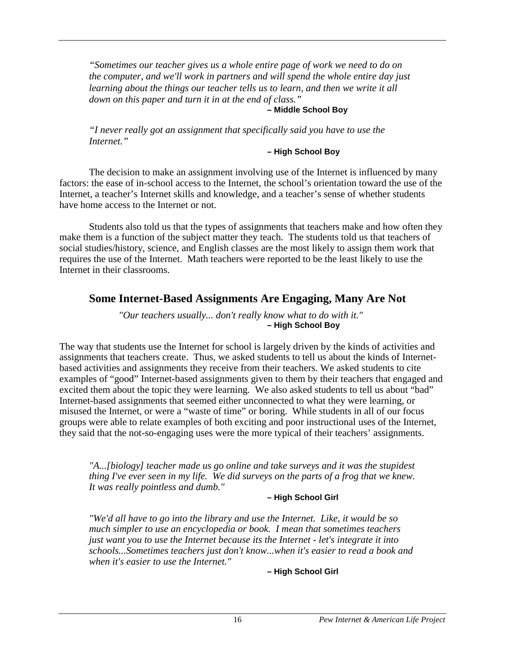<span id="page-22-0"></span>*"Sometimes our teacher gives us a whole entire page of work we need to do on the computer, and we'll work in partners and will spend the whole entire day just learning about the things our teacher tells us to learn, and then we write it all down on this paper and turn it in at the end of class."* 

#### **– Middle School Boy**

*"I never really got an assignment that specifically said you have to use the Internet."* 

#### **– High School Boy**

The decision to make an assignment involving use of the Internet is influenced by many factors: the ease of in-school access to the Internet, the school's orientation toward the use of the Internet, a teacher's Internet skills and knowledge, and a teacher's sense of whether students have home access to the Internet or not.

Students also told us that the types of assignments that teachers make and how often they make them is a function of the subject matter they teach. The students told us that teachers of social studies/history, science, and English classes are the most likely to assign them work that requires the use of the Internet. Math teachers were reported to be the least likely to use the Internet in their classrooms.

# **Some Internet-Based Assignments Are Engaging, Many Are Not**

*"Our teachers usually... don't really know what to do with it."*  **– High School Boy** 

The way that students use the Internet for school is largely driven by the kinds of activities and assignments that teachers create. Thus, we asked students to tell us about the kinds of Internetbased activities and assignments they receive from their teachers. We asked students to cite examples of "good" Internet-based assignments given to them by their teachers that engaged and excited them about the topic they were learning. We also asked students to tell us about "bad" Internet-based assignments that seemed either unconnected to what they were learning, or misused the Internet, or were a "waste of time" or boring. While students in all of our focus groups were able to relate examples of both exciting and poor instructional uses of the Internet, they said that the not-so-engaging uses were the more typical of their teachers' assignments.

*"A...[biology] teacher made us go online and take surveys and it was the stupidest thing I've ever seen in my life. We did surveys on the parts of a frog that we knew. It was really pointless and dumb."* 

#### **– High School Girl**

*"We'd all have to go into the library and use the Internet. Like, it would be so much simpler to use an encyclopedia or book. I mean that sometimes teachers just want you to use the Internet because its the Internet - let's integrate it into schools...Sometimes teachers just don't know...when it's easier to read a book and when it's easier to use the Internet."*

**– High School Girl**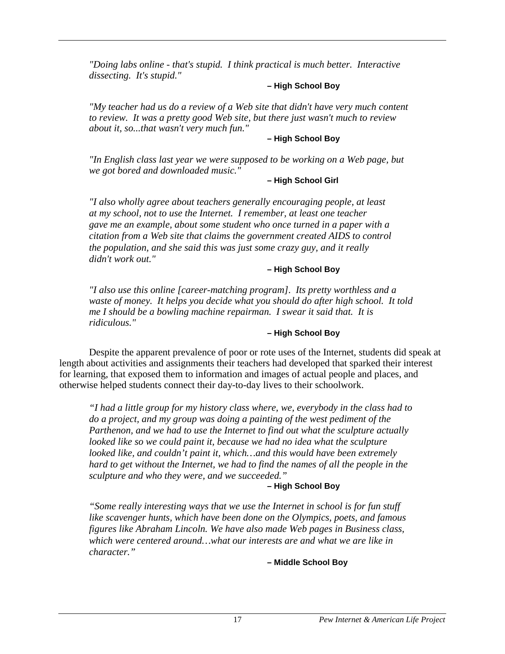*"Doing labs online - that's stupid. I think practical is much better. Interactive dissecting. It's stupid."* 

#### **– High School Boy**

*"My teacher had us do a review of a Web site that didn't have very much content to review. It was a pretty good Web site, but there just wasn't much to review about it, so...that wasn't very much fun."* 

#### **– High School Boy**

*"In English class last year we were supposed to be working on a Web page, but we got bored and downloaded music."*

#### **– High School Girl**

*"I also wholly agree about teachers generally encouraging people, at least at my school, not to use the Internet. I remember, at least one teacher gave me an example, about some student who once turned in a paper with a citation from a Web site that claims the government created AIDS to control the population, and she said this was just some crazy guy, and it really didn't work out."* 

#### **– High School Boy**

*"I also use this online [career-matching program]. Its pretty worthless and a waste of money. It helps you decide what you should do after high school. It told me I should be a bowling machine repairman. I swear it said that. It is ridiculous."* 

#### **– High School Boy**

Despite the apparent prevalence of poor or rote uses of the Internet, students did speak at length about activities and assignments their teachers had developed that sparked their interest for learning, that exposed them to information and images of actual people and places, and otherwise helped students connect their day-to-day lives to their schoolwork.

*"I had a little group for my history class where, we, everybody in the class had to do a project, and my group was doing a painting of the west pediment of the Parthenon, and we had to use the Internet to find out what the sculpture actually looked like so we could paint it, because we had no idea what the sculpture looked like, and couldn't paint it, which…and this would have been extremely hard to get without the Internet, we had to find the names of all the people in the sculpture and who they were, and we succeeded."* 

#### **– High School Boy**

*"Some really interesting ways that we use the Internet in school is for fun stuff like scavenger hunts, which have been done on the Olympics, poets, and famous figures like Abraham Lincoln. We have also made Web pages in Business class, which were centered around…what our interests are and what we are like in character."* 

**– Middle School Boy**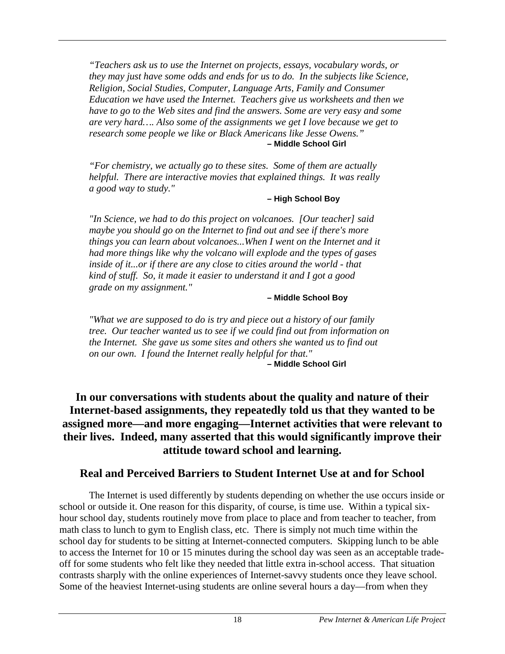<span id="page-24-0"></span>*"Teachers ask us to use the Internet on projects, essays, vocabulary words, or they may just have some odds and ends for us to do. In the subjects like Science, Religion, Social Studies, Computer, Language Arts, Family and Consumer Education we have used the Internet. Teachers give us worksheets and then we have to go to the Web sites and find the answers. Some are very easy and some are very hard…. Also some of the assignments we get I love because we get to research some people we like or Black Americans like Jesse Owens."*  **– Middle School Girl** 

*"For chemistry, we actually go to these sites. Some of them are actually helpful. There are interactive movies that explained things. It was really a good way to study."* 

#### **– High School Boy**

*"In Science, we had to do this project on volcanoes. [Our teacher] said maybe you should go on the Internet to find out and see if there's more things you can learn about volcanoes...When I went on the Internet and it had more things like why the volcano will explode and the types of gases inside of it...or if there are any close to cities around the world - that kind of stuff. So, it made it easier to understand it and I got a good grade on my assignment."* 

#### **– Middle School Boy**

*"What we are supposed to do is try and piece out a history of our family tree. Our teacher wanted us to see if we could find out from information on the Internet. She gave us some sites and others she wanted us to find out on our own. I found the Internet really helpful for that."*  **– Middle School Girl** 

# **In our conversations with students about the quality and nature of their Internet-based assignments, they repeatedly told us that they wanted to be assigned more—and more engaging—Internet activities that were relevant to their lives. Indeed, many asserted that this would significantly improve their attitude toward school and learning.**

# **Real and Perceived Barriers to Student Internet Use at and for School**

The Internet is used differently by students depending on whether the use occurs inside or school or outside it. One reason for this disparity, of course, is time use. Within a typical sixhour school day, students routinely move from place to place and from teacher to teacher, from math class to lunch to gym to English class, etc. There is simply not much time within the school day for students to be sitting at Internet-connected computers. Skipping lunch to be able to access the Internet for 10 or 15 minutes during the school day was seen as an acceptable tradeoff for some students who felt like they needed that little extra in-school access. That situation contrasts sharply with the online experiences of Internet-savvy students once they leave school. Some of the heaviest Internet-using students are online several hours a day—from when they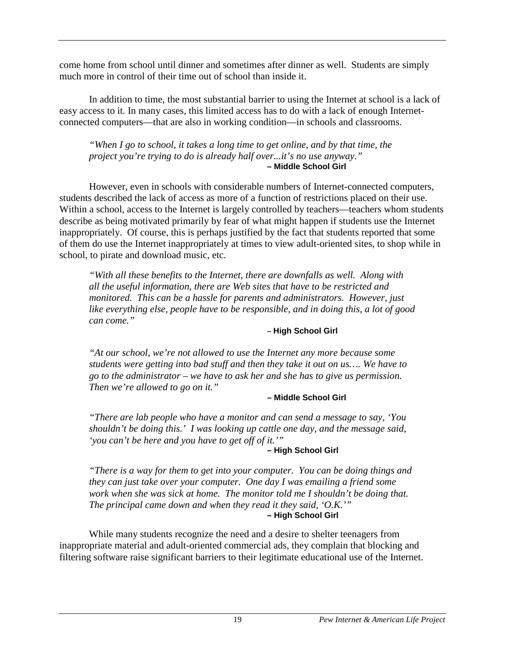come home from school until dinner and sometimes after dinner as well. Students are simply much more in control of their time out of school than inside it.

In addition to time, the most substantial barrier to using the Internet at school is a lack of easy access to it. In many cases, this limited access has to do with a lack of enough Internetconnected computers—that are also in working condition—in schools and classrooms.

*"When I go to school, it takes a long time to get online, and by that time, the project you're trying to do is already half over...it's no use anyway."*  **– Middle School Girl**

However, even in schools with considerable numbers of Internet-connected computers, students described the lack of access as more of a function of restrictions placed on their use. Within a school, access to the Internet is largely controlled by teachers—teachers whom students describe as being motivated primarily by fear of what might happen if students use the Internet inappropriately. Of course, this is perhaps justified by the fact that students reported that some of them do use the Internet inappropriately at times to view adult-oriented sites, to shop while in school, to pirate and download music, etc.

*"With all these benefits to the Internet, there are downfalls as well. Along with all the useful information, there are Web sites that have to be restricted and monitored. This can be a hassle for parents and administrators. However, just like everything else, people have to be responsible, and in doing this, a lot of good can come."* 

#### **– High School Girl**

*"At our school, we're not allowed to use the Internet any more because some students were getting into bad stuff and then they take it out on us…. We have to go to the administrator – we have to ask her and she has to give us permission. Then we're allowed to go on it."* 

#### **– Middle School Girl**

*"There are lab people who have a monitor and can send a message to say, 'You shouldn't be doing this.' I was looking up cattle one day, and the message said, 'you can't be here and you have to get off of it.'"* 

#### **– High School Girl**

*"There is a way for them to get into your computer. You can be doing things and they can just take over your computer. One day I was emailing a friend some work when she was sick at home. The monitor told me I shouldn't be doing that. The principal came down and when they read it they said, 'O.K.'"*  **– High School Girl**

While many students recognize the need and a desire to shelter teenagers from inappropriate material and adult-oriented commercial ads, they complain that blocking and filtering software raise significant barriers to their legitimate educational use of the Internet.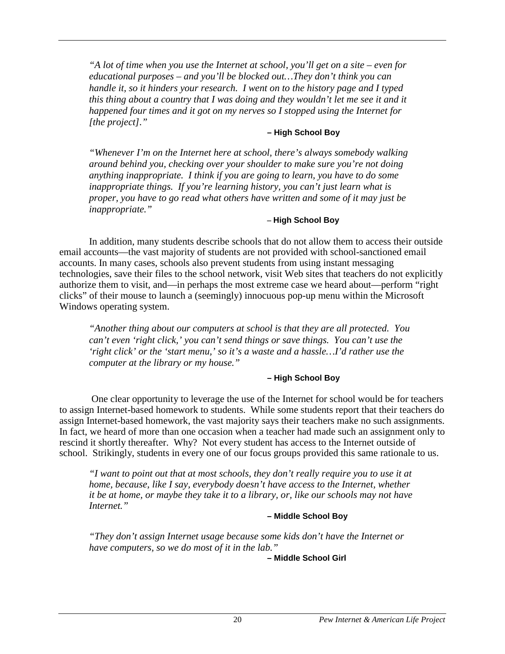*"A lot of time when you use the Internet at school, you'll get on a site – even for educational purposes – and you'll be blocked out…They don't think you can handle it, so it hinders your research. I went on to the history page and I typed this thing about a country that I was doing and they wouldn't let me see it and it happened four times and it got on my nerves so I stopped using the Internet for [the project]."* 

#### **– High School Boy**

*"Whenever I'm on the Internet here at school, there's always somebody walking around behind you, checking over your shoulder to make sure you're not doing anything inappropriate. I think if you are going to learn, you have to do some inappropriate things. If you're learning history, you can't just learn what is proper, you have to go read what others have written and some of it may just be inappropriate."* 

#### **– High School Boy**

In addition, many students describe schools that do not allow them to access their outside email accounts—the vast majority of students are not provided with school-sanctioned email accounts. In many cases, schools also prevent students from using instant messaging technologies, save their files to the school network, visit Web sites that teachers do not explicitly authorize them to visit, and—in perhaps the most extreme case we heard about—perform "right clicks" of their mouse to launch a (seemingly) innocuous pop-up menu within the Microsoft Windows operating system.

*"Another thing about our computers at school is that they are all protected. You can't even 'right click,' you can't send things or save things. You can't use the 'right click' or the 'start menu,' so it's a waste and a hassle…I'd rather use the computer at the library or my house."* 

#### **– High School Boy**

 One clear opportunity to leverage the use of the Internet for school would be for teachers to assign Internet-based homework to students. While some students report that their teachers do assign Internet-based homework, the vast majority says their teachers make no such assignments. In fact, we heard of more than one occasion when a teacher had made such an assignment only to rescind it shortly thereafter. Why? Not every student has access to the Internet outside of school. Strikingly, students in every one of our focus groups provided this same rationale to us.

*"I want to point out that at most schools, they don't really require you to use it at home, because, like I say, everybody doesn't have access to the Internet, whether it be at home, or maybe they take it to a library, or, like our schools may not have Internet."* 

#### **– Middle School Boy**

*"They don't assign Internet usage because some kids don't have the Internet or have computers, so we do most of it in the lab."* 

 **– Middle School Girl**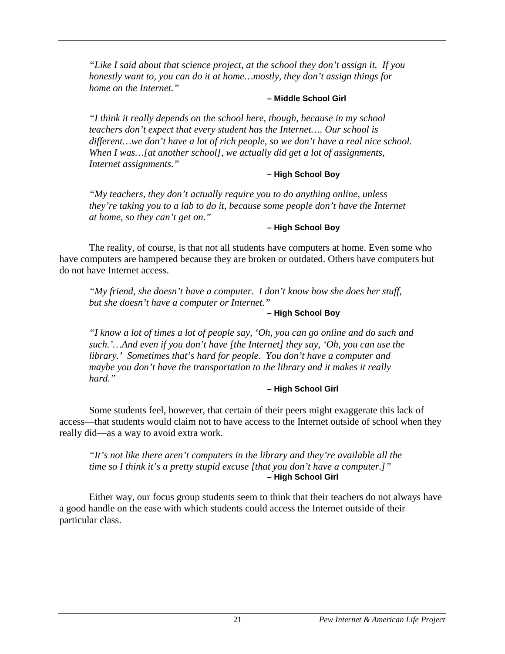*"Like I said about that science project, at the school they don't assign it. If you honestly want to, you can do it at home…mostly, they don't assign things for home on the Internet."* 

#### **– Middle School Girl**

*"I think it really depends on the school here, though, because in my school teachers don't expect that every student has the Internet…. Our school is different…we don't have a lot of rich people, so we don't have a real nice school. When I was…[at another school], we actually did get a lot of assignments, Internet assignments."* 

#### **– High School Boy**

*"My teachers, they don't actually require you to do anything online, unless they're taking you to a lab to do it, because some people don't have the Internet at home, so they can't get on."* 

#### **– High School Boy**

The reality, of course, is that not all students have computers at home. Even some who have computers are hampered because they are broken or outdated. Others have computers but do not have Internet access.

*"My friend, she doesn't have a computer. I don't know how she does her stuff, but she doesn't have a computer or Internet."* 

#### **– High School Boy**

*"I know a lot of times a lot of people say, 'Oh, you can go online and do such and such.'…And even if you don't have [the Internet] they say, 'Oh, you can use the library.' Sometimes that's hard for people. You don't have a computer and maybe you don't have the transportation to the library and it makes it really hard."* 

#### **– High School Girl**

Some students feel, however, that certain of their peers might exaggerate this lack of access—that students would claim not to have access to the Internet outside of school when they really did—as a way to avoid extra work.

*"It's not like there aren't computers in the library and they're available all the time so I think it's a pretty stupid excuse [that you don't have a computer.]"*  **– High School Girl**

Either way, our focus group students seem to think that their teachers do not always have a good handle on the ease with which students could access the Internet outside of their particular class.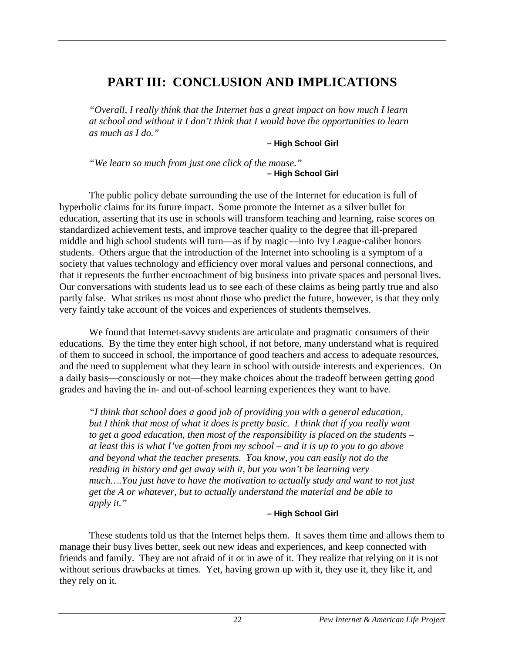# **PART III: CONCLUSION AND IMPLICATIONS**

*"Overall, I really think that the Internet has a great impact on how much I learn at school and without it I don't think that I would have the opportunities to learn as much as I do."* 

**– High School Girl** 

*"We learn so much from just one click of the mouse."*  **– High School Girl** 

The public policy debate surrounding the use of the Internet for education is full of hyperbolic claims for its future impact. Some promote the Internet as a silver bullet for education, asserting that its use in schools will transform teaching and learning, raise scores on standardized achievement tests, and improve teacher quality to the degree that ill-prepared middle and high school students will turn—as if by magic—into Ivy League-caliber honors students. Others argue that the introduction of the Internet into schooling is a symptom of a society that values technology and efficiency over moral values and personal connections, and that it represents the further encroachment of big business into private spaces and personal lives. Our conversations with students lead us to see each of these claims as being partly true and also partly false. What strikes us most about those who predict the future, however, is that they only very faintly take account of the voices and experiences of students themselves.

We found that Internet-savvy students are articulate and pragmatic consumers of their educations. By the time they enter high school, if not before, many understand what is required of them to succeed in school, the importance of good teachers and access to adequate resources, and the need to supplement what they learn in school with outside interests and experiences. On a daily basis—consciously or not—they make choices about the tradeoff between getting good grades and having the in- and out-of-school learning experiences they want to have.

*"I think that school does a good job of providing you with a general education, but I think that most of what it does is pretty basic. I think that if you really want to get a good education, then most of the responsibility is placed on the students – at least this is what I've gotten from my school – and it is up to you to go above and beyond what the teacher presents. You know, you can easily not do the reading in history and get away with it, but you won't be learning very much….You just have to have the motivation to actually study and want to not just get the A or whatever, but to actually understand the material and be able to apply it."*

#### **– High School Girl**

These students told us that the Internet helps them. It saves them time and allows them to manage their busy lives better, seek out new ideas and experiences, and keep connected with friends and family. They are not afraid of it or in awe of it. They realize that relying on it is not without serious drawbacks at times. Yet, having grown up with it, they use it, they like it, and they rely on it.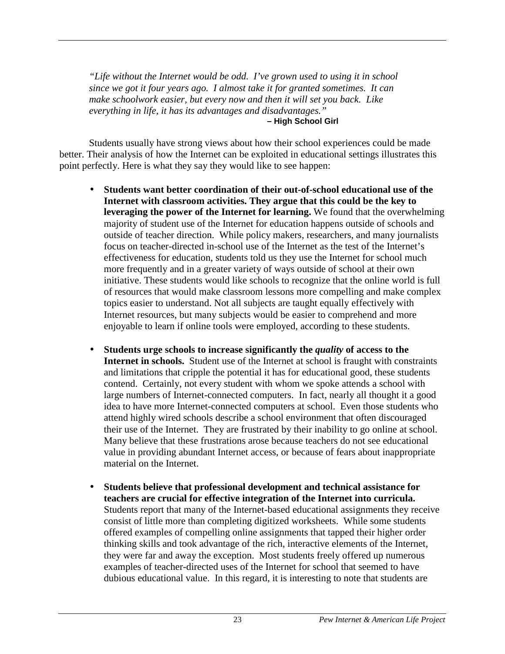*"Life without the Internet would be odd. I've grown used to using it in school since we got it four years ago. I almost take it for granted sometimes. It can make schoolwork easier, but every now and then it will set you back. Like everything in life, it has its advantages and disadvantages."*  **– High School Girl**

Students usually have strong views about how their school experiences could be made better. Their analysis of how the Internet can be exploited in educational settings illustrates this point perfectly. Here is what they say they would like to see happen:

- **Students want better coordination of their out-of-school educational use of the Internet with classroom activities. They argue that this could be the key to leveraging the power of the Internet for learning.** We found that the overwhelming majority of student use of the Internet for education happens outside of schools and outside of teacher direction. While policy makers, researchers, and many journalists focus on teacher-directed in-school use of the Internet as the test of the Internet's effectiveness for education, students told us they use the Internet for school much more frequently and in a greater variety of ways outside of school at their own initiative. These students would like schools to recognize that the online world is full of resources that would make classroom lessons more compelling and make complex topics easier to understand. Not all subjects are taught equally effectively with Internet resources, but many subjects would be easier to comprehend and more enjoyable to learn if online tools were employed, according to these students.
- Students urge schools to increase significantly the *quality* of access to the **Internet in schools.** Student use of the Internet at school is fraught with constraints and limitations that cripple the potential it has for educational good, these students contend. Certainly, not every student with whom we spoke attends a school with large numbers of Internet-connected computers. In fact, nearly all thought it a good idea to have more Internet-connected computers at school. Even those students who attend highly wired schools describe a school environment that often discouraged their use of the Internet. They are frustrated by their inability to go online at school. Many believe that these frustrations arose because teachers do not see educational value in providing abundant Internet access, or because of fears about inappropriate material on the Internet.
- **Students believe that professional development and technical assistance for teachers are crucial for effective integration of the Internet into curricula.**  Students report that many of the Internet-based educational assignments they receive consist of little more than completing digitized worksheets. While some students offered examples of compelling online assignments that tapped their higher order thinking skills and took advantage of the rich, interactive elements of the Internet, they were far and away the exception. Most students freely offered up numerous examples of teacher-directed uses of the Internet for school that seemed to have dubious educational value. In this regard, it is interesting to note that students are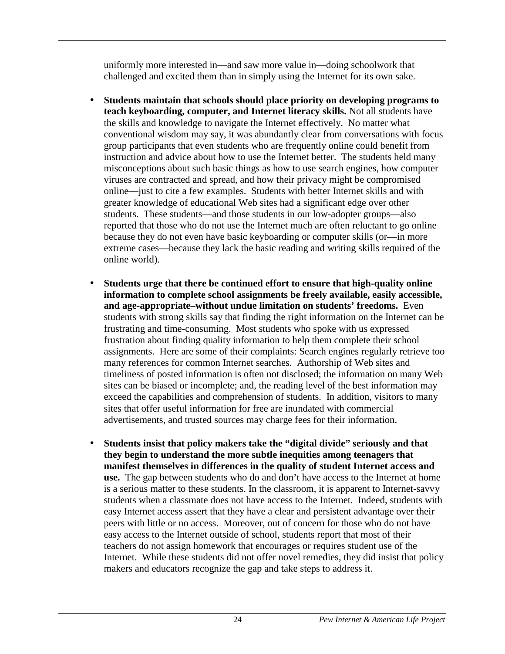uniformly more interested in—and saw more value in—doing schoolwork that challenged and excited them than in simply using the Internet for its own sake.

- **Students maintain that schools should place priority on developing programs to teach keyboarding, computer, and Internet literacy skills.** Not all students have the skills and knowledge to navigate the Internet effectively. No matter what conventional wisdom may say, it was abundantly clear from conversations with focus group participants that even students who are frequently online could benefit from instruction and advice about how to use the Internet better. The students held many misconceptions about such basic things as how to use search engines, how computer viruses are contracted and spread, and how their privacy might be compromised online—just to cite a few examples. Students with better Internet skills and with greater knowledge of educational Web sites had a significant edge over other students. These students—and those students in our low-adopter groups—also reported that those who do not use the Internet much are often reluctant to go online because they do not even have basic keyboarding or computer skills (or—in more extreme cases—because they lack the basic reading and writing skills required of the online world).
- **Students urge that there be continued effort to ensure that high-quality online information to complete school assignments be freely available, easily accessible, and age-appropriate–without undue limitation on students' freedoms.** Even students with strong skills say that finding the right information on the Internet can be frustrating and time-consuming. Most students who spoke with us expressed frustration about finding quality information to help them complete their school assignments. Here are some of their complaints: Search engines regularly retrieve too many references for common Internet searches. Authorship of Web sites and timeliness of posted information is often not disclosed; the information on many Web sites can be biased or incomplete; and, the reading level of the best information may exceed the capabilities and comprehension of students. In addition, visitors to many sites that offer useful information for free are inundated with commercial advertisements, and trusted sources may charge fees for their information.
- **Students insist that policy makers take the "digital divide" seriously and that they begin to understand the more subtle inequities among teenagers that manifest themselves in differences in the quality of student Internet access and use.** The gap between students who do and don't have access to the Internet at home is a serious matter to these students. In the classroom, it is apparent to Internet-savvy students when a classmate does not have access to the Internet. Indeed, students with easy Internet access assert that they have a clear and persistent advantage over their peers with little or no access. Moreover, out of concern for those who do not have easy access to the Internet outside of school, students report that most of their teachers do not assign homework that encourages or requires student use of the Internet. While these students did not offer novel remedies, they did insist that policy makers and educators recognize the gap and take steps to address it.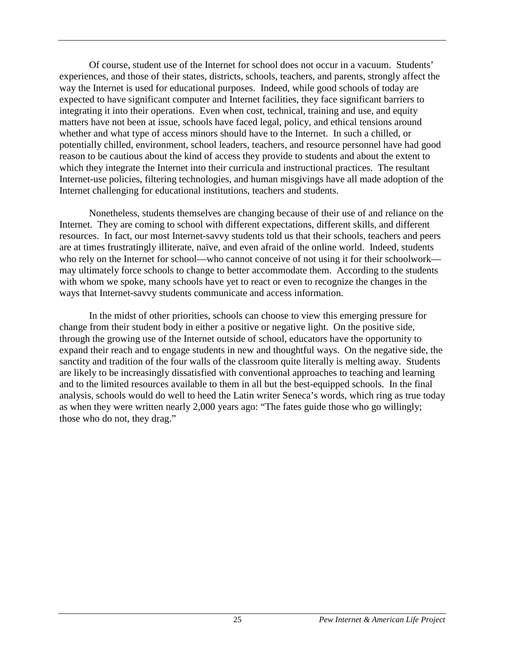<span id="page-31-0"></span>Of course, student use of the Internet for school does not occur in a vacuum. Students' experiences, and those of their states, districts, schools, teachers, and parents, strongly affect the way the Internet is used for educational purposes. Indeed, while good schools of today are expected to have significant computer and Internet facilities, they face significant barriers to integrating it into their operations. Even when cost, technical, training and use, and equity matters have not been at issue, schools have faced legal, policy, and ethical tensions around whether and what type of access minors should have to the Internet. In such a chilled, or potentially chilled, environment, school leaders, teachers, and resource personnel have had good reason to be cautious about the kind of access they provide to students and about the extent to which they integrate the Internet into their curricula and instructional practices. The resultant Internet-use policies, filtering technologies, and human misgivings have all made adoption of the Internet challenging for educational institutions, teachers and students.

Nonetheless, students themselves are changing because of their use of and reliance on the Internet. They are coming to school with different expectations, different skills, and different resources. In fact, our most Internet-savvy students told us that their schools, teachers and peers are at times frustratingly illiterate, naïve, and even afraid of the online world. Indeed, students who rely on the Internet for school—who cannot conceive of not using it for their schoolwork may ultimately force schools to change to better accommodate them. According to the students with whom we spoke, many schools have yet to react or even to recognize the changes in the ways that Internet-savvy students communicate and access information.

In the midst of other priorities, schools can choose to view this emerging pressure for change from their student body in either a positive or negative light. On the positive side, through the growing use of the Internet outside of school, educators have the opportunity to expand their reach and to engage students in new and thoughtful ways. On the negative side, the sanctity and tradition of the four walls of the classroom quite literally is melting away. Students are likely to be increasingly dissatisfied with conventional approaches to teaching and learning and to the limited resources available to them in all but the best-equipped schools. In the final analysis, schools would do well to heed the Latin writer Seneca's words, which ring as true today as when they were written nearly 2,000 years ago: "The fates guide those who go willingly; those who do not, they drag."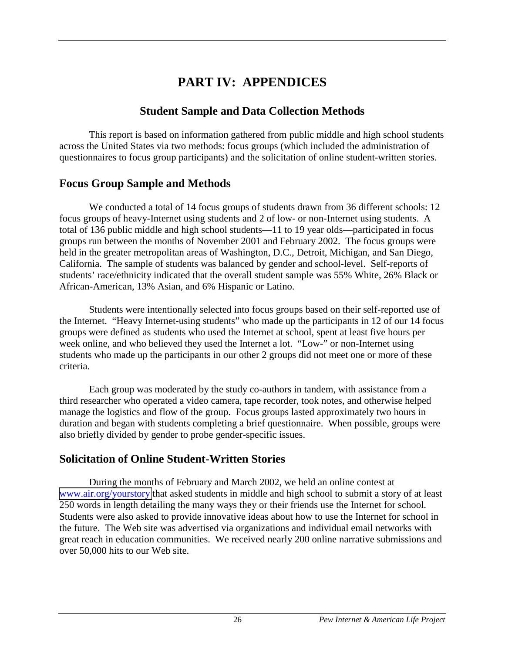# **PART IV: APPENDICES**

## **Student Sample and Data Collection Methods**

<span id="page-32-0"></span>This report is based on information gathered from public middle and high school students across the United States via two methods: focus groups (which included the administration of questionnaires to focus group participants) and the solicitation of online student-written stories.

# **Focus Group Sample and Methods**

We conducted a total of 14 focus groups of students drawn from 36 different schools: 12 focus groups of heavy-Internet using students and 2 of low- or non-Internet using students. A total of 136 public middle and high school students—11 to 19 year olds—participated in focus groups run between the months of November 2001 and February 2002. The focus groups were held in the greater metropolitan areas of Washington, D.C., Detroit, Michigan, and San Diego, California. The sample of students was balanced by gender and school-level. Self-reports of students' race/ethnicity indicated that the overall student sample was 55% White, 26% Black or African-American, 13% Asian, and 6% Hispanic or Latino.

Students were intentionally selected into focus groups based on their self-reported use of the Internet. "Heavy Internet-using students" who made up the participants in 12 of our 14 focus groups were defined as students who used the Internet at school, spent at least five hours per week online, and who believed they used the Internet a lot. "Low-" or non-Internet using students who made up the participants in our other 2 groups did not meet one or more of these criteria.

Each group was moderated by the study co-authors in tandem, with assistance from a third researcher who operated a video camera, tape recorder, took notes, and otherwise helped manage the logistics and flow of the group. Focus groups lasted approximately two hours in duration and began with students completing a brief questionnaire. When possible, groups were also briefly divided by gender to probe gender-specific issues.

# **Solicitation of Online Student-Written Stories**

During the months of February and March 2002, we held an online contest at [www.air.org/yourstory](http://www.air.org/yourstory) that asked students in middle and high school to submit a story of at least 250 words in length detailing the many ways they or their friends use the Internet for school. Students were also asked to provide innovative ideas about how to use the Internet for school in the future. The Web site was advertised via organizations and individual email networks with great reach in education communities. We received nearly 200 online narrative submissions and over 50,000 hits to our Web site.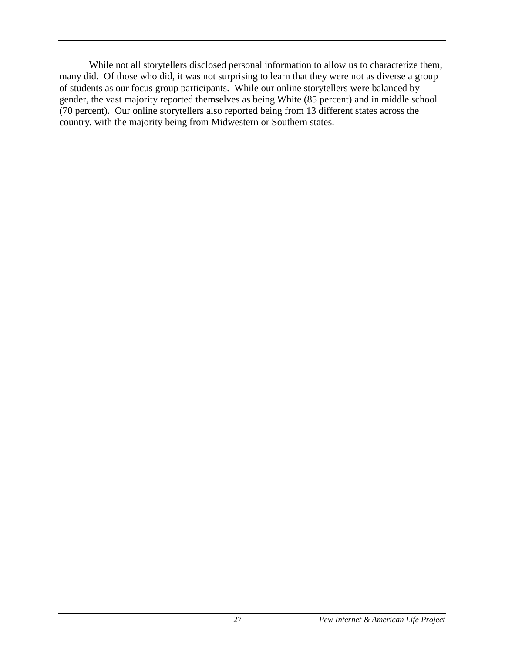While not all storytellers disclosed personal information to allow us to characterize them, many did. Of those who did, it was not surprising to learn that they were not as diverse a group of students as our focus group participants. While our online storytellers were balanced by gender, the vast majority reported themselves as being White (85 percent) and in middle school (70 percent). Our online storytellers also reported being from 13 different states across the country, with the majority being from Midwestern or Southern states.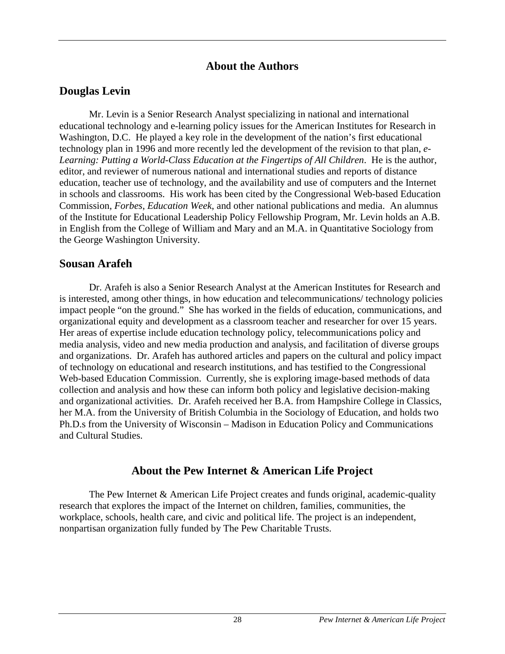## **About the Authors**

## <span id="page-34-0"></span>**Douglas Levin**

Mr. Levin is a Senior Research Analyst specializing in national and international educational technology and e-learning policy issues for the American Institutes for Research in Washington, D.C. He played a key role in the development of the nation's first educational technology plan in 1996 and more recently led the development of the revision to that plan, *e-Learning: Putting a World-Class Education at the Fingertips of All Children*. He is the author, editor, and reviewer of numerous national and international studies and reports of distance education, teacher use of technology, and the availability and use of computers and the Internet in schools and classrooms. His work has been cited by the Congressional Web-based Education Commission, *Forbes*, *Education Week*, and other national publications and media. An alumnus of the Institute for Educational Leadership Policy Fellowship Program, Mr. Levin holds an A.B. in English from the College of William and Mary and an M.A. in Quantitative Sociology from the George Washington University.

#### **Sousan Arafeh**

Dr. Arafeh is also a Senior Research Analyst at the American Institutes for Research and is interested, among other things, in how education and telecommunications/ technology policies impact people "on the ground." She has worked in the fields of education, communications, and organizational equity and development as a classroom teacher and researcher for over 15 years. Her areas of expertise include education technology policy, telecommunications policy and media analysis, video and new media production and analysis, and facilitation of diverse groups and organizations. Dr. Arafeh has authored articles and papers on the cultural and policy impact of technology on educational and research institutions, and has testified to the Congressional Web-based Education Commission. Currently, she is exploring image-based methods of data collection and analysis and how these can inform both policy and legislative decision-making and organizational activities. Dr. Arafeh received her B.A. from Hampshire College in Classics, her M.A. from the University of British Columbia in the Sociology of Education, and holds two Ph.D.s from the University of Wisconsin – Madison in Education Policy and Communications and Cultural Studies.

## **About the Pew Internet & American Life Project**

 The Pew Internet & American Life Project creates and funds original, academic-quality research that explores the impact of the Internet on children, families, communities, the workplace, schools, health care, and civic and political life. The project is an independent, nonpartisan organization fully funded by The Pew Charitable Trusts.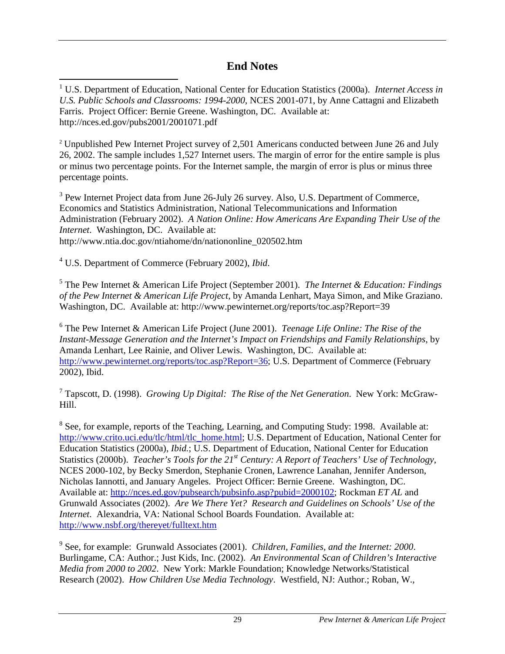# **End Notes**

<span id="page-35-0"></span><sup>1</sup> U.S. Department of Education, National Center for Education Statistics (2000a). *Internet Access in U.S. Public Schools and Classrooms: 1994-2000*, NCES 2001-071, by Anne Cattagni and Elizabeth Farris. Project Officer: Bernie Greene. Washington, DC. Available at: http://nces.ed.gov/pubs2001/2001071.pdf

<sup>2</sup> Unpublished Pew Internet Project survey of 2,501 Americans conducted between June 26 and July 26, 2002. The sample includes 1,527 Internet users. The margin of error for the entire sample is plus or minus two percentage points. For the Internet sample, the margin of error is plus or minus three percentage points.

 $3$  Pew Internet Project data from June 26-July 26 survey. Also, U.S. Department of Commerce, Economics and Statistics Administration, National Telecommunications and Information Administration (February 2002). *A Nation Online: How Americans Are Expanding Their Use of the Internet*. Washington, DC. Available at: http://www.ntia.doc.gov/ntiahome/dn/nationonline\_020502.htm

4 U.S. Department of Commerce (February 2002), *Ibid*.

5 The Pew Internet & American Life Project (September 2001). *The Internet & Education: Findings of the Pew Internet & American Life Project*, by Amanda Lenhart, Maya Simon, and Mike Graziano. Washington, DC. Available at: http://www.pewinternet.org/reports/toc.asp?Report=39

6 The Pew Internet & American Life Project (June 2001). *Teenage Life Online: The Rise of the Instant-Message Generation and the Internet's Impact on Friendships and Family Relationships*, by Amanda Lenhart, Lee Rainie, and Oliver Lewis. Washington, DC. Available at: http://www.pewinternet.org/reports/toc.asp?Report=36; U.S. Department of Commerce (February 2002), Ibid.

7 Tapscott, D. (1998). *Growing Up Digital: The Rise of the Net Generation*. New York: McGraw-Hill.

<sup>8</sup> See, for example, reports of the Teaching, Learning, and Computing Study: 1998. Available at: http://www.crito.uci.edu/tlc/html/tlc\_home.html; U.S. Department of Education, National Center for Education Statistics (2000a), *Ibid.*; U.S. Department of Education, National Center for Education Statistics (2000b). *Teacher's Tools for the 21st Century: A Report of Teachers' Use of Technology*, NCES 2000-102, by Becky Smerdon, Stephanie Cronen, Lawrence Lanahan, Jennifer Anderson, Nicholas Iannotti, and January Angeles. Project Officer: Bernie Greene. Washington, DC. Available at: http://nces.ed.gov/pubsearch/pubsinfo.asp?pubid=2000102; Rockman *ET AL* and Grunwald Associates (2002). *Are We There Yet? Research and Guidelines on Schools' Use of the Internet*. Alexandria, VA: National School Boards Foundation. Available at: http://www.nsbf.org/thereyet/fulltext.htm

 9 See, for example: Grunwald Associates (2001). *Children, Families, and the Internet: 2000*. Burlingame, CA: Author.; Just Kids, Inc. (2002). *An Environmental Scan of Children's Interactive Media from 2000 to 2002*. New York: Markle Foundation; Knowledge Networks/Statistical Research (2002). *How Children Use Media Technology*. Westfield, NJ: Author.; Roban, W.,